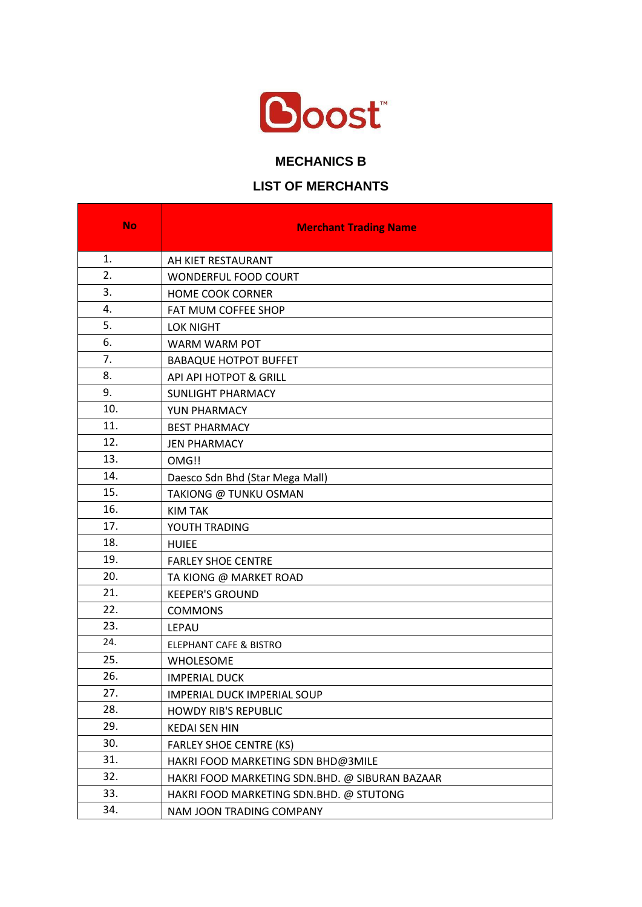

## **MECHANICS B**

## **LIST OF MERCHANTS**

| <b>No</b> | <b>Merchant Trading Name</b>                   |
|-----------|------------------------------------------------|
| 1.        | AH KIET RESTAURANT                             |
| 2.        | WONDERFUL FOOD COURT                           |
| 3.        | <b>HOME COOK CORNER</b>                        |
| 4.        | FAT MUM COFFEE SHOP                            |
| 5.        | <b>LOK NIGHT</b>                               |
| 6.        | WARM WARM POT                                  |
| 7.        | <b>BABAQUE HOTPOT BUFFET</b>                   |
| 8.        | API API HOTPOT & GRILL                         |
| 9.        | SUNLIGHT PHARMACY                              |
| 10.       | YUN PHARMACY                                   |
| 11.       | <b>BEST PHARMACY</b>                           |
| 12.       | <b>JEN PHARMACY</b>                            |
| 13.       | OMG!!                                          |
| 14.       | Daesco Sdn Bhd (Star Mega Mall)                |
| 15.       | TAKIONG @ TUNKU OSMAN                          |
| 16.       | <b>KIM TAK</b>                                 |
| 17.       | YOUTH TRADING                                  |
| 18.       | <b>HUIEE</b>                                   |
| 19.       | <b>FARLEY SHOE CENTRE</b>                      |
| 20.       | TA KIONG @ MARKET ROAD                         |
| 21.       | <b>KEEPER'S GROUND</b>                         |
| 22.       | <b>COMMONS</b>                                 |
| 23.       | LEPAU                                          |
| 24.       | <b>ELEPHANT CAFE &amp; BISTRO</b>              |
| 25.       | WHOLESOME                                      |
| 26.       | <b>IMPERIAL DUCK</b>                           |
| 27.       | <b>IMPERIAL DUCK IMPERIAL SOUP</b>             |
| 28.       | <b>HOWDY RIB'S REPUBLIC</b>                    |
| 29.       | <b>KEDAI SEN HIN</b>                           |
| 30.       | <b>FARLEY SHOE CENTRE (KS)</b>                 |
| 31.       | HAKRI FOOD MARKETING SDN BHD@3MILE             |
| 32.       | HAKRI FOOD MARKETING SDN.BHD. @ SIBURAN BAZAAR |
| 33.       | HAKRI FOOD MARKETING SDN.BHD. @ STUTONG        |
| 34.       | NAM JOON TRADING COMPANY                       |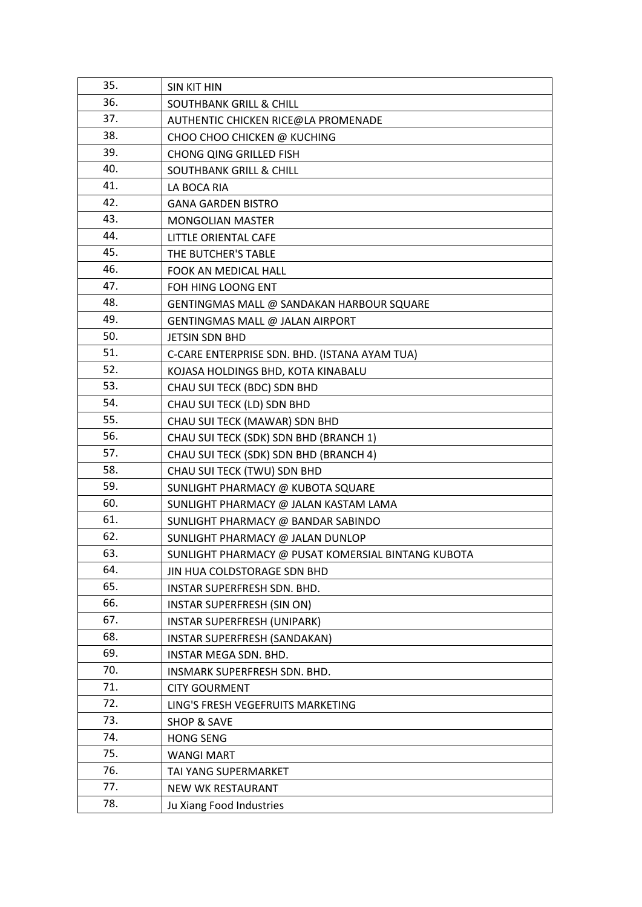| 35. | <b>SIN KIT HIN</b>                                 |
|-----|----------------------------------------------------|
| 36. | <b>SOUTHBANK GRILL &amp; CHILL</b>                 |
| 37. | AUTHENTIC CHICKEN RICE@LA PROMENADE                |
| 38. | CHOO CHOO CHICKEN @ KUCHING                        |
| 39. | <b>CHONG QING GRILLED FISH</b>                     |
| 40. | <b>SOUTHBANK GRILL &amp; CHILL</b>                 |
| 41. | LA BOCA RIA                                        |
| 42. | <b>GANA GARDEN BISTRO</b>                          |
| 43. | <b>MONGOLIAN MASTER</b>                            |
| 44. | LITTLE ORIENTAL CAFE                               |
| 45. | THE BUTCHER'S TABLE                                |
| 46. | FOOK AN MEDICAL HALL                               |
| 47. | FOH HING LOONG ENT                                 |
| 48. | GENTINGMAS MALL @ SANDAKAN HARBOUR SQUARE          |
| 49. | GENTINGMAS MALL @ JALAN AIRPORT                    |
| 50. | <b>JETSIN SDN BHD</b>                              |
| 51. | C-CARE ENTERPRISE SDN. BHD. (ISTANA AYAM TUA)      |
| 52. | KOJASA HOLDINGS BHD, KOTA KINABALU                 |
| 53. | CHAU SUI TECK (BDC) SDN BHD                        |
| 54. | CHAU SUI TECK (LD) SDN BHD                         |
| 55. | CHAU SUI TECK (MAWAR) SDN BHD                      |
| 56. | CHAU SUI TECK (SDK) SDN BHD (BRANCH 1)             |
| 57. | CHAU SUI TECK (SDK) SDN BHD (BRANCH 4)             |
| 58. | CHAU SUI TECK (TWU) SDN BHD                        |
| 59. | SUNLIGHT PHARMACY @ KUBOTA SQUARE                  |
| 60. | SUNLIGHT PHARMACY @ JALAN KASTAM LAMA              |
| 61. | SUNLIGHT PHARMACY @ BANDAR SABINDO                 |
| 62. | SUNLIGHT PHARMACY @ JALAN DUNLOP                   |
| 63. | SUNLIGHT PHARMACY @ PUSAT KOMERSIAL BINTANG KUBOTA |
| 64. | JIN HUA COLDSTORAGE SDN BHD                        |
| 65. | INSTAR SUPERFRESH SDN. BHD.                        |
| 66. | INSTAR SUPERFRESH (SIN ON)                         |
| 67. | INSTAR SUPERFRESH (UNIPARK)                        |
| 68. | INSTAR SUPERFRESH (SANDAKAN)                       |
| 69. | INSTAR MEGA SDN. BHD.                              |
| 70. | INSMARK SUPERFRESH SDN. BHD.                       |
| 71. | <b>CITY GOURMENT</b>                               |
| 72. | LING'S FRESH VEGEFRUITS MARKETING                  |
| 73. | <b>SHOP &amp; SAVE</b>                             |
| 74. | <b>HONG SENG</b>                                   |
| 75. | <b>WANGI MART</b>                                  |
| 76. | TAI YANG SUPERMARKET                               |
| 77. | NEW WK RESTAURANT                                  |
| 78. | Ju Xiang Food Industries                           |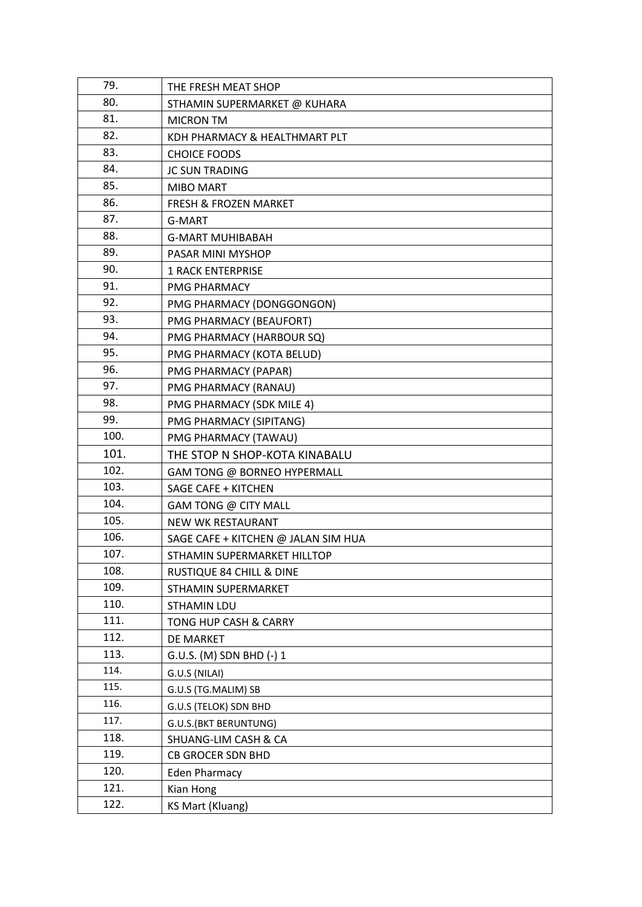| 79.  | THE FRESH MEAT SHOP                 |
|------|-------------------------------------|
| 80.  | STHAMIN SUPERMARKET @ KUHARA        |
| 81.  | <b>MICRON TM</b>                    |
| 82.  | KDH PHARMACY & HEALTHMART PLT       |
| 83.  | <b>CHOICE FOODS</b>                 |
| 84.  | <b>JC SUN TRADING</b>               |
| 85.  | <b>MIBO MART</b>                    |
| 86.  | <b>FRESH &amp; FROZEN MARKET</b>    |
| 87.  | G-MART                              |
| 88.  | <b>G-MART MUHIBABAH</b>             |
| 89.  | PASAR MINI MYSHOP                   |
| 90.  | <b>1 RACK ENTERPRISE</b>            |
| 91.  | <b>PMG PHARMACY</b>                 |
| 92.  | PMG PHARMACY (DONGGONGON)           |
| 93.  | PMG PHARMACY (BEAUFORT)             |
| 94.  | PMG PHARMACY (HARBOUR SQ)           |
| 95.  | PMG PHARMACY (KOTA BELUD)           |
| 96.  | PMG PHARMACY (PAPAR)                |
| 97.  | PMG PHARMACY (RANAU)                |
| 98.  | PMG PHARMACY (SDK MILE 4)           |
| 99.  | PMG PHARMACY (SIPITANG)             |
| 100. | PMG PHARMACY (TAWAU)                |
| 101. | THE STOP N SHOP-KOTA KINABALU       |
| 102. | GAM TONG @ BORNEO HYPERMALL         |
| 103. | SAGE CAFE + KITCHEN                 |
| 104. | GAM TONG @ CITY MALL                |
| 105. | NEW WK RESTAURANT                   |
| 106. | SAGE CAFE + KITCHEN @ JALAN SIM HUA |
| 107. | STHAMIN SUPERMARKET HILLTOP         |
| 108. | RUSTIQUE 84 CHILL & DINE            |
| 109. | STHAMIN SUPERMARKET                 |
| 110. | <b>STHAMIN LDU</b>                  |
| 111. | TONG HUP CASH & CARRY               |
| 112. | DE MARKET                           |
| 113. | G.U.S. (M) SDN BHD (-) 1            |
| 114. | G.U.S (NILAI)                       |
| 115. | G.U.S (TG.MALIM) SB                 |
| 116. | G.U.S (TELOK) SDN BHD               |
| 117. | G.U.S.(BKT BERUNTUNG)               |
| 118. | SHUANG-LIM CASH & CA                |
| 119. | CB GROCER SDN BHD                   |
| 120. | <b>Eden Pharmacy</b>                |
| 121. | Kian Hong                           |
| 122. | <b>KS Mart (Kluang)</b>             |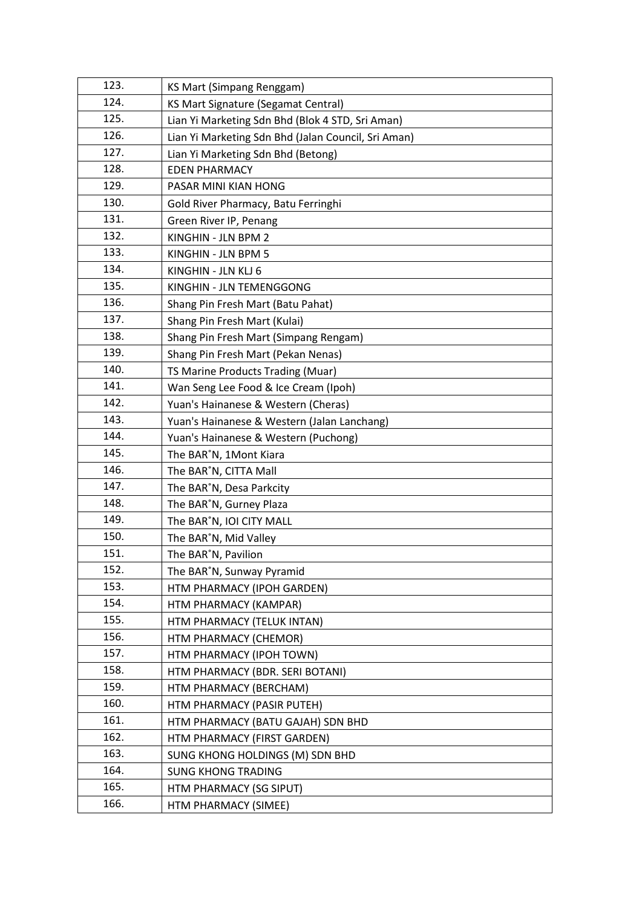| 123. | KS Mart (Simpang Renggam)                           |
|------|-----------------------------------------------------|
| 124. | <b>KS Mart Signature (Segamat Central)</b>          |
| 125. | Lian Yi Marketing Sdn Bhd (Blok 4 STD, Sri Aman)    |
| 126. | Lian Yi Marketing Sdn Bhd (Jalan Council, Sri Aman) |
| 127. | Lian Yi Marketing Sdn Bhd (Betong)                  |
| 128. | <b>EDEN PHARMACY</b>                                |
| 129. | PASAR MINI KIAN HONG                                |
| 130. | Gold River Pharmacy, Batu Ferringhi                 |
| 131. | Green River IP, Penang                              |
| 132. | KINGHIN - JLN BPM 2                                 |
| 133. | KINGHIN - JLN BPM 5                                 |
| 134. | KINGHIN - JLN KLJ 6                                 |
| 135. | KINGHIN - JLN TEMENGGONG                            |
| 136. | Shang Pin Fresh Mart (Batu Pahat)                   |
| 137. | Shang Pin Fresh Mart (Kulai)                        |
| 138. | Shang Pin Fresh Mart (Simpang Rengam)               |
| 139. | Shang Pin Fresh Mart (Pekan Nenas)                  |
| 140. | TS Marine Products Trading (Muar)                   |
| 141. | Wan Seng Lee Food & Ice Cream (Ipoh)                |
| 142. | Yuan's Hainanese & Western (Cheras)                 |
| 143. | Yuan's Hainanese & Western (Jalan Lanchang)         |
| 144. | Yuan's Hainanese & Western (Puchong)                |
| 145. | The BAR <sup>°</sup> N, 1Mont Kiara                 |
| 146. | The BAR <sup>°</sup> N, CITTA Mall                  |
| 147. | The BAR <sup>°</sup> N, Desa Parkcity               |
| 148. | The BAR <sup>°</sup> N, Gurney Plaza                |
| 149. | The BAR <sup>°</sup> N, IOI CITY MALL               |
| 150. | The BAR <sup>°</sup> N, Mid Valley                  |
| 151. | The BAR <sup>°</sup> N, Pavilion                    |
| 152. | The BAR <sup>°</sup> N, Sunway Pyramid              |
| 153. | HTM PHARMACY (IPOH GARDEN)                          |
| 154. | HTM PHARMACY (KAMPAR)                               |
| 155. | HTM PHARMACY (TELUK INTAN)                          |
| 156. | HTM PHARMACY (CHEMOR)                               |
| 157. | HTM PHARMACY (IPOH TOWN)                            |
| 158. | HTM PHARMACY (BDR. SERI BOTANI)                     |
| 159. | HTM PHARMACY (BERCHAM)                              |
| 160. | HTM PHARMACY (PASIR PUTEH)                          |
| 161. | HTM PHARMACY (BATU GAJAH) SDN BHD                   |
| 162. | HTM PHARMACY (FIRST GARDEN)                         |
| 163. | SUNG KHONG HOLDINGS (M) SDN BHD                     |
| 164. | <b>SUNG KHONG TRADING</b>                           |
| 165. | HTM PHARMACY (SG SIPUT)                             |
| 166. | HTM PHARMACY (SIMEE)                                |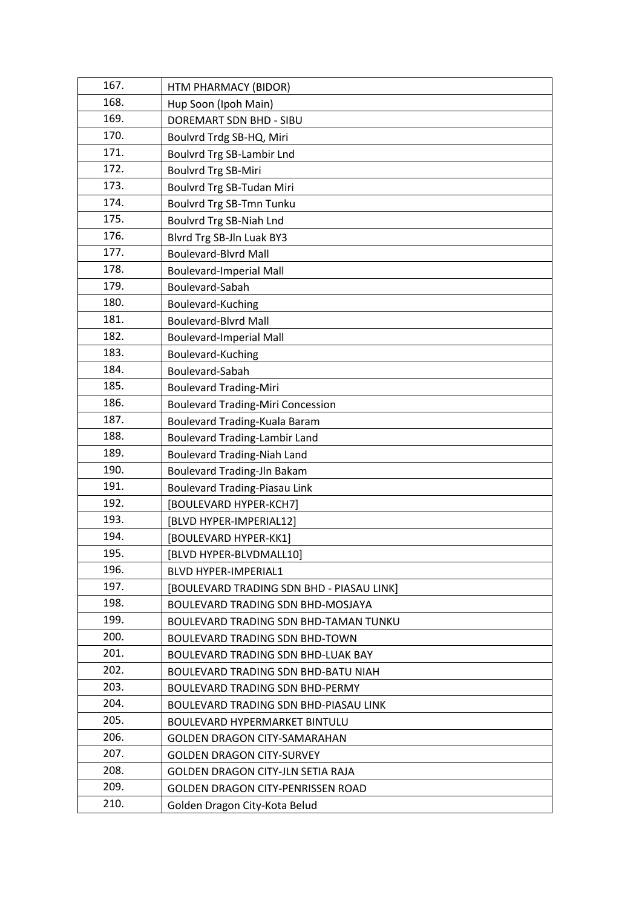| 167. | HTM PHARMACY (BIDOR)                      |
|------|-------------------------------------------|
| 168. | Hup Soon (Ipoh Main)                      |
| 169. | <b>DOREMART SDN BHD - SIBU</b>            |
| 170. | Boulvrd Trdg SB-HQ, Miri                  |
| 171. | Boulvrd Trg SB-Lambir Lnd                 |
| 172. | <b>Boulvrd Trg SB-Miri</b>                |
| 173. | Boulvrd Trg SB-Tudan Miri                 |
| 174. | Boulvrd Trg SB-Tmn Tunku                  |
| 175. | Boulvrd Trg SB-Niah Lnd                   |
| 176. | Blvrd Trg SB-Jln Luak BY3                 |
| 177. | <b>Boulevard-Blvrd Mall</b>               |
| 178. | <b>Boulevard-Imperial Mall</b>            |
| 179. | Boulevard-Sabah                           |
| 180. | Boulevard-Kuching                         |
| 181. | <b>Boulevard-Blyrd Mall</b>               |
| 182. | <b>Boulevard-Imperial Mall</b>            |
| 183. | Boulevard-Kuching                         |
| 184. | Boulevard-Sabah                           |
| 185. | <b>Boulevard Trading-Miri</b>             |
| 186. | <b>Boulevard Trading-Miri Concession</b>  |
| 187. | Boulevard Trading-Kuala Baram             |
| 188. | <b>Boulevard Trading-Lambir Land</b>      |
| 189. | <b>Boulevard Trading-Niah Land</b>        |
| 190. | <b>Boulevard Trading-Jln Bakam</b>        |
| 191. | <b>Boulevard Trading-Piasau Link</b>      |
| 192. | [BOULEVARD HYPER-KCH7]                    |
| 193. | [BLVD HYPER-IMPERIAL12]                   |
| 194. | [BOULEVARD HYPER-KK1]                     |
| 195. | [BLVD HYPER-BLVDMALL10]                   |
| 196. | BLVD HYPER-IMPERIAL1                      |
| 197. | [BOULEVARD TRADING SDN BHD - PIASAU LINK] |
| 198. | BOULEVARD TRADING SDN BHD-MOSJAYA         |
| 199. | BOULEVARD TRADING SDN BHD-TAMAN TUNKU     |
| 200. | <b>BOULEVARD TRADING SDN BHD-TOWN</b>     |
| 201. | BOULEVARD TRADING SDN BHD-LUAK BAY        |
| 202. | BOULEVARD TRADING SDN BHD-BATU NIAH       |
| 203. | BOULEVARD TRADING SDN BHD-PERMY           |
| 204. | BOULEVARD TRADING SDN BHD-PIASAU LINK     |
| 205. | <b>BOULEVARD HYPERMARKET BINTULU</b>      |
| 206. | <b>GOLDEN DRAGON CITY-SAMARAHAN</b>       |
| 207. | <b>GOLDEN DRAGON CITY-SURVEY</b>          |
| 208. | <b>GOLDEN DRAGON CITY-JLN SETIA RAJA</b>  |
| 209. | GOLDEN DRAGON CITY-PENRISSEN ROAD         |
| 210. | Golden Dragon City-Kota Belud             |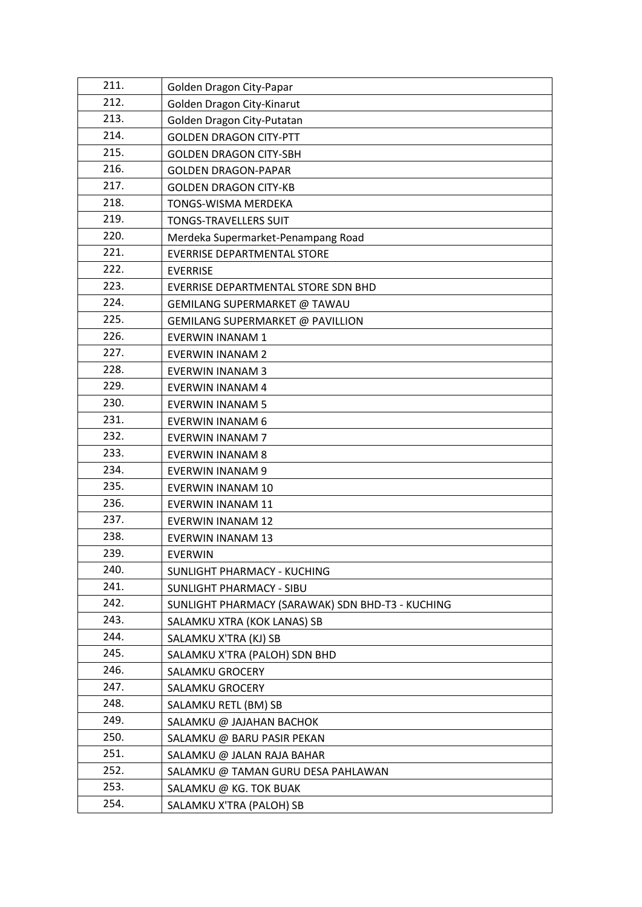| 211. | Golden Dragon City-Papar                         |
|------|--------------------------------------------------|
| 212. | Golden Dragon City-Kinarut                       |
| 213. | Golden Dragon City-Putatan                       |
| 214. | <b>GOLDEN DRAGON CITY-PTT</b>                    |
| 215. | <b>GOLDEN DRAGON CITY-SBH</b>                    |
| 216. | <b>GOLDEN DRAGON-PAPAR</b>                       |
| 217. | <b>GOLDEN DRAGON CITY-KB</b>                     |
| 218. | TONGS-WISMA MERDEKA                              |
| 219. | <b>TONGS-TRAVELLERS SUIT</b>                     |
| 220. | Merdeka Supermarket-Penampang Road               |
| 221. | <b>EVERRISE DEPARTMENTAL STORE</b>               |
| 222. | <b>EVERRISE</b>                                  |
| 223. | EVERRISE DEPARTMENTAL STORE SDN BHD              |
| 224. | GEMILANG SUPERMARKET @ TAWAU                     |
| 225. | GEMILANG SUPERMARKET @ PAVILLION                 |
| 226. | <b>EVERWIN INANAM 1</b>                          |
| 227. | <b>EVERWIN INANAM 2</b>                          |
| 228. | <b>EVERWIN INANAM 3</b>                          |
| 229. | <b>EVERWIN INANAM 4</b>                          |
| 230. | <b>EVERWIN INANAM 5</b>                          |
| 231. | <b>EVERWIN INANAM 6</b>                          |
| 232. | <b>EVERWIN INANAM 7</b>                          |
| 233. | <b>EVERWIN INANAM 8</b>                          |
| 234. | <b>EVERWIN INANAM 9</b>                          |
| 235. | <b>EVERWIN INANAM 10</b>                         |
| 236. | <b>EVERWIN INANAM 11</b>                         |
| 237. | <b>EVERWIN INANAM 12</b>                         |
| 238. | <b>EVERWIN INANAM 13</b>                         |
| 239. | <b>EVERWIN</b>                                   |
| 240. | SUNLIGHT PHARMACY - KUCHING                      |
| 241. | <b>SUNLIGHT PHARMACY - SIBU</b>                  |
| 242. | SUNLIGHT PHARMACY (SARAWAK) SDN BHD-T3 - KUCHING |
| 243. | SALAMKU XTRA (KOK LANAS) SB                      |
| 244. | SALAMKU X'TRA (KJ) SB                            |
| 245. | SALAMKU X'TRA (PALOH) SDN BHD                    |
| 246. | SALAMKU GROCERY                                  |
| 247. | SALAMKU GROCERY                                  |
| 248. | SALAMKU RETL (BM) SB                             |
| 249. | SALAMKU @ JAJAHAN BACHOK                         |
| 250. | SALAMKU @ BARU PASIR PEKAN                       |
| 251. | SALAMKU @ JALAN RAJA BAHAR                       |
| 252. | SALAMKU @ TAMAN GURU DESA PAHLAWAN               |
| 253. | SALAMKU @ KG. TOK BUAK                           |
| 254. | SALAMKU X'TRA (PALOH) SB                         |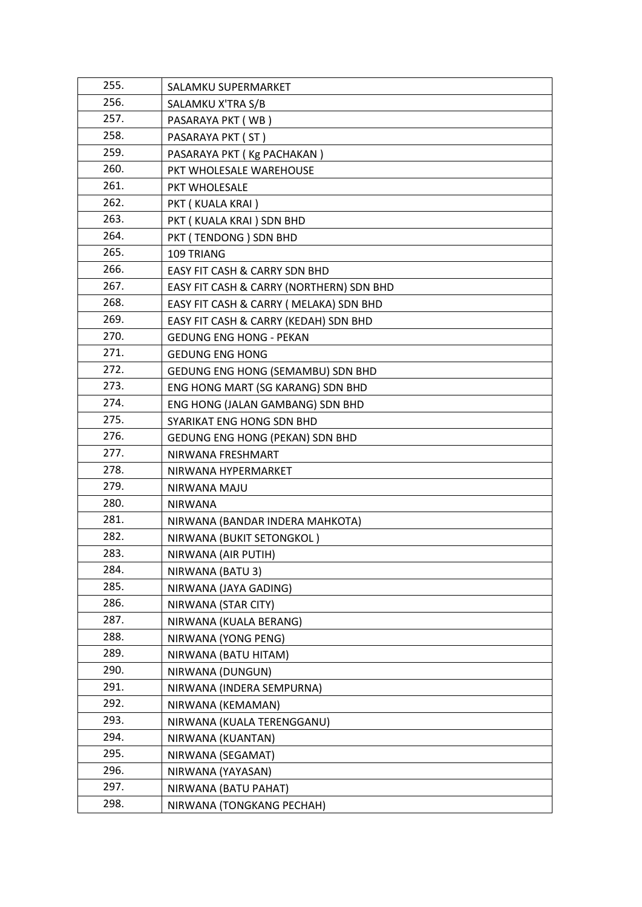| 255. | SALAMKU SUPERMARKET                      |
|------|------------------------------------------|
| 256. | SALAMKU X'TRA S/B                        |
| 257. | PASARAYA PKT (WB)                        |
| 258. | PASARAYA PKT (ST)                        |
| 259. | PASARAYA PKT (Kg PACHAKAN)               |
| 260. | PKT WHOLESALE WAREHOUSE                  |
| 261. | PKT WHOLESALE                            |
| 262. | PKT (KUALA KRAI)                         |
| 263. | PKT (KUALA KRAI) SDN BHD                 |
| 264. | PKT (TENDONG) SDN BHD                    |
| 265. | 109 TRIANG                               |
| 266. | EASY FIT CASH & CARRY SDN BHD            |
| 267. | EASY FIT CASH & CARRY (NORTHERN) SDN BHD |
| 268. | EASY FIT CASH & CARRY ( MELAKA) SDN BHD  |
| 269. | EASY FIT CASH & CARRY (KEDAH) SDN BHD    |
| 270. | <b>GEDUNG ENG HONG - PEKAN</b>           |
| 271. | <b>GEDUNG ENG HONG</b>                   |
| 272. | <b>GEDUNG ENG HONG (SEMAMBU) SDN BHD</b> |
| 273. | ENG HONG MART (SG KARANG) SDN BHD        |
| 274. | ENG HONG (JALAN GAMBANG) SDN BHD         |
| 275. | SYARIKAT ENG HONG SDN BHD                |
| 276. | GEDUNG ENG HONG (PEKAN) SDN BHD          |
| 277. | NIRWANA FRESHMART                        |
| 278. | NIRWANA HYPERMARKET                      |
| 279. | NIRWANA MAJU                             |
| 280. | <b>NIRWANA</b>                           |
| 281. | NIRWANA (BANDAR INDERA MAHKOTA)          |
| 282. | NIRWANA (BUKIT SETONGKOL)                |
| 283. | NIRWANA (AIR PUTIH)                      |
| 284. | NIRWANA (BATU 3)                         |
| 285. | NIRWANA (JAYA GADING)                    |
| 286. | NIRWANA (STAR CITY)                      |
| 287. | NIRWANA (KUALA BERANG)                   |
| 288. | NIRWANA (YONG PENG)                      |
| 289. | NIRWANA (BATU HITAM)                     |
| 290. | NIRWANA (DUNGUN)                         |
| 291. | NIRWANA (INDERA SEMPURNA)                |
| 292. | NIRWANA (KEMAMAN)                        |
| 293. | NIRWANA (KUALA TERENGGANU)               |
| 294. | NIRWANA (KUANTAN)                        |
| 295. | NIRWANA (SEGAMAT)                        |
| 296. | NIRWANA (YAYASAN)                        |
| 297. | NIRWANA (BATU PAHAT)                     |
| 298. | NIRWANA (TONGKANG PECHAH)                |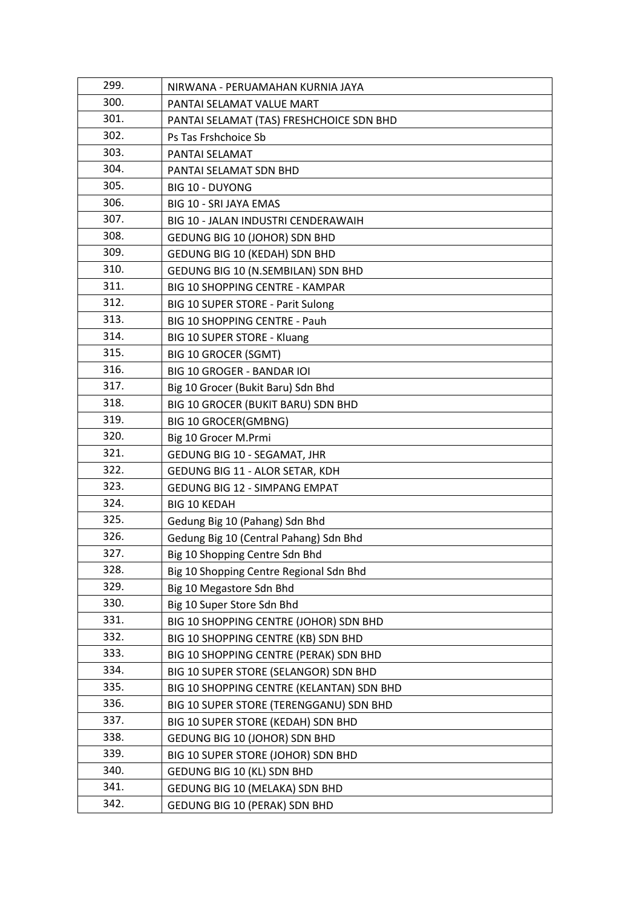| 299. | NIRWANA - PERUAMAHAN KURNIA JAYA          |
|------|-------------------------------------------|
| 300. | PANTAI SELAMAT VALUE MART                 |
| 301. | PANTAI SELAMAT (TAS) FRESHCHOICE SDN BHD  |
| 302. | Ps Tas Frshchoice Sb                      |
| 303. | PANTAI SELAMAT                            |
| 304. | PANTAI SELAMAT SDN BHD                    |
| 305. | <b>BIG 10 - DUYONG</b>                    |
| 306. | BIG 10 - SRI JAYA EMAS                    |
| 307. | BIG 10 - JALAN INDUSTRI CENDERAWAIH       |
| 308. | GEDUNG BIG 10 (JOHOR) SDN BHD             |
| 309. | GEDUNG BIG 10 (KEDAH) SDN BHD             |
| 310. | GEDUNG BIG 10 (N.SEMBILAN) SDN BHD        |
| 311. | <b>BIG 10 SHOPPING CENTRE - KAMPAR</b>    |
| 312. | BIG 10 SUPER STORE - Parit Sulong         |
| 313. | BIG 10 SHOPPING CENTRE - Pauh             |
| 314. | BIG 10 SUPER STORE - Kluang               |
| 315. | <b>BIG 10 GROCER (SGMT)</b>               |
| 316. | <b>BIG 10 GROGER - BANDAR IOI</b>         |
| 317. | Big 10 Grocer (Bukit Baru) Sdn Bhd        |
| 318. | BIG 10 GROCER (BUKIT BARU) SDN BHD        |
| 319. | <b>BIG 10 GROCER(GMBNG)</b>               |
| 320. | Big 10 Grocer M.Prmi                      |
| 321. | GEDUNG BIG 10 - SEGAMAT, JHR              |
| 322. | GEDUNG BIG 11 - ALOR SETAR, KDH           |
| 323. | <b>GEDUNG BIG 12 - SIMPANG EMPAT</b>      |
| 324. | <b>BIG 10 KEDAH</b>                       |
| 325. | Gedung Big 10 (Pahang) Sdn Bhd            |
| 326. | Gedung Big 10 (Central Pahang) Sdn Bhd    |
| 327. | Big 10 Shopping Centre Sdn Bhd            |
| 328. | Big 10 Shopping Centre Regional Sdn Bhd   |
| 329. | Big 10 Megastore Sdn Bhd                  |
| 330. | Big 10 Super Store Sdn Bhd                |
| 331. | BIG 10 SHOPPING CENTRE (JOHOR) SDN BHD    |
| 332. | BIG 10 SHOPPING CENTRE (KB) SDN BHD       |
| 333. | BIG 10 SHOPPING CENTRE (PERAK) SDN BHD    |
| 334. | BIG 10 SUPER STORE (SELANGOR) SDN BHD     |
| 335. | BIG 10 SHOPPING CENTRE (KELANTAN) SDN BHD |
| 336. | BIG 10 SUPER STORE (TERENGGANU) SDN BHD   |
| 337. | BIG 10 SUPER STORE (KEDAH) SDN BHD        |
| 338. | GEDUNG BIG 10 (JOHOR) SDN BHD             |
| 339. | BIG 10 SUPER STORE (JOHOR) SDN BHD        |
| 340. | GEDUNG BIG 10 (KL) SDN BHD                |
| 341. | GEDUNG BIG 10 (MELAKA) SDN BHD            |
| 342. | GEDUNG BIG 10 (PERAK) SDN BHD             |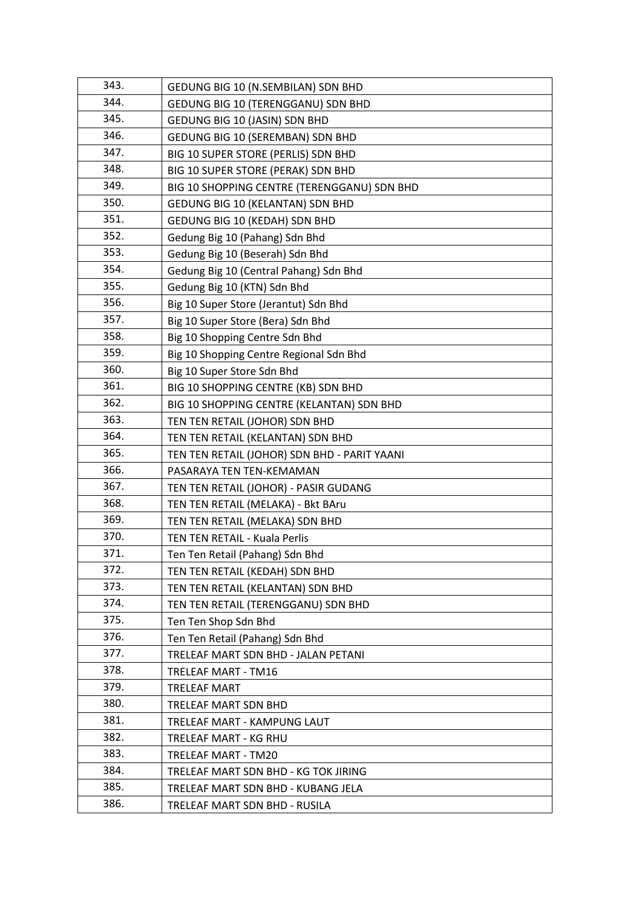| 343. | GEDUNG BIG 10 (N.SEMBILAN) SDN BHD           |
|------|----------------------------------------------|
| 344. | GEDUNG BIG 10 (TERENGGANU) SDN BHD           |
| 345. | GEDUNG BIG 10 (JASIN) SDN BHD                |
| 346. | GEDUNG BIG 10 (SEREMBAN) SDN BHD             |
| 347. | BIG 10 SUPER STORE (PERLIS) SDN BHD          |
| 348. | BIG 10 SUPER STORE (PERAK) SDN BHD           |
| 349. | BIG 10 SHOPPING CENTRE (TERENGGANU) SDN BHD  |
| 350. | GEDUNG BIG 10 (KELANTAN) SDN BHD             |
| 351. | GEDUNG BIG 10 (KEDAH) SDN BHD                |
| 352. | Gedung Big 10 (Pahang) Sdn Bhd               |
| 353. | Gedung Big 10 (Beserah) Sdn Bhd              |
| 354. | Gedung Big 10 (Central Pahang) Sdn Bhd       |
| 355. | Gedung Big 10 (KTN) Sdn Bhd                  |
| 356. | Big 10 Super Store (Jerantut) Sdn Bhd        |
| 357. | Big 10 Super Store (Bera) Sdn Bhd            |
| 358. | Big 10 Shopping Centre Sdn Bhd               |
| 359. | Big 10 Shopping Centre Regional Sdn Bhd      |
| 360. | Big 10 Super Store Sdn Bhd                   |
| 361. | BIG 10 SHOPPING CENTRE (KB) SDN BHD          |
| 362. | BIG 10 SHOPPING CENTRE (KELANTAN) SDN BHD    |
| 363. | TEN TEN RETAIL (JOHOR) SDN BHD               |
| 364. | TEN TEN RETAIL (KELANTAN) SDN BHD            |
| 365. | TEN TEN RETAIL (JOHOR) SDN BHD - PARIT YAANI |
| 366. | PASARAYA TEN TEN-KEMAMAN                     |
| 367. | TEN TEN RETAIL (JOHOR) - PASIR GUDANG        |
| 368. | TEN TEN RETAIL (MELAKA) - Bkt BAru           |
| 369. | TEN TEN RETAIL (MELAKA) SDN BHD              |
| 370. | TEN TEN RETAIL - Kuala Perlis                |
| 371. | Ten Ten Retail (Pahang) Sdn Bhd              |
| 372. | TEN TEN RETAIL (KEDAH) SDN BHD               |
| 373. | TEN TEN RETAIL (KELANTAN) SDN BHD            |
| 374. | TEN TEN RETAIL (TERENGGANU) SDN BHD          |
| 375. | Ten Ten Shop Sdn Bhd                         |
| 376. | Ten Ten Retail (Pahang) Sdn Bhd              |
| 377. | TRELEAF MART SDN BHD - JALAN PETANI          |
| 378. | <b>TRELEAF MART - TM16</b>                   |
| 379. | TRELEAF MART                                 |
| 380. | TRELEAF MART SDN BHD                         |
| 381. | TRELEAF MART - KAMPUNG LAUT                  |
| 382. | TRELEAF MART - KG RHU                        |
| 383. | TRELEAF MART - TM20                          |
| 384. | TRELEAF MART SDN BHD - KG TOK JIRING         |
| 385. | TRELEAF MART SDN BHD - KUBANG JELA           |
| 386. | TRELEAF MART SDN BHD - RUSILA                |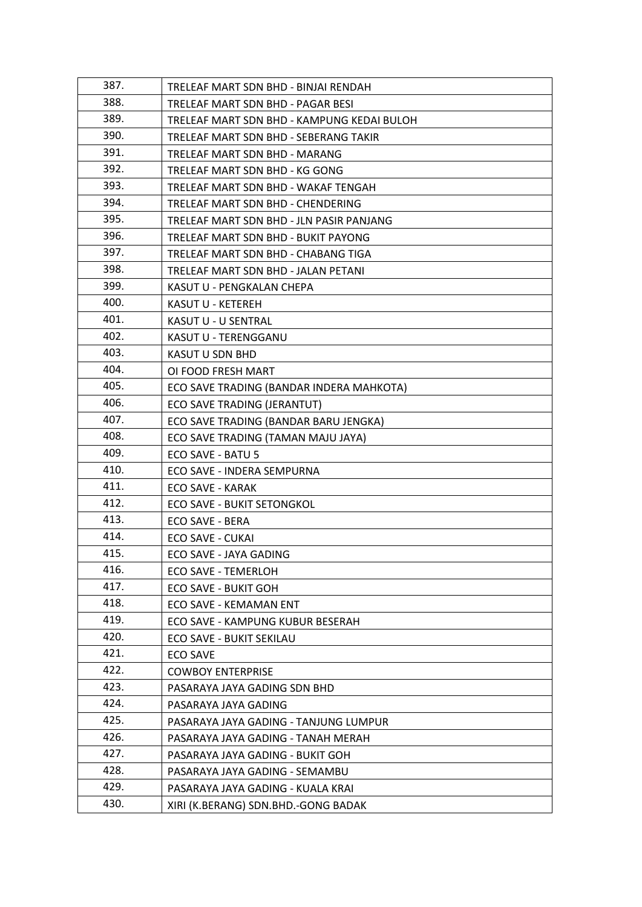| 387. | TRELEAF MART SDN BHD - BINJAI RENDAH       |
|------|--------------------------------------------|
| 388. | TRELEAF MART SDN BHD - PAGAR BESI          |
| 389. | TRELEAF MART SDN BHD - KAMPUNG KEDAI BULOH |
| 390. | TRELEAF MART SDN BHD - SEBERANG TAKIR      |
| 391. | TRELEAF MART SDN BHD - MARANG              |
| 392. | TRELEAF MART SDN BHD - KG GONG             |
| 393. | TRELEAF MART SDN BHD - WAKAF TENGAH        |
| 394. | TRELEAF MART SDN BHD - CHENDERING          |
| 395. | TRELEAF MART SDN BHD - JLN PASIR PANJANG   |
| 396. | TRELEAF MART SDN BHD - BUKIT PAYONG        |
| 397. | TRELEAF MART SDN BHD - CHABANG TIGA        |
| 398. | TRELEAF MART SDN BHD - JALAN PETANI        |
| 399. | KASUT U - PENGKALAN CHEPA                  |
| 400. | KASUT U - KETEREH                          |
| 401. | KASUT U - U SENTRAL                        |
| 402. | KASUT U - TERENGGANU                       |
| 403. | <b>KASUT U SDN BHD</b>                     |
| 404. | OI FOOD FRESH MART                         |
| 405. | ECO SAVE TRADING (BANDAR INDERA MAHKOTA)   |
| 406. | ECO SAVE TRADING (JERANTUT)                |
| 407. | ECO SAVE TRADING (BANDAR BARU JENGKA)      |
| 408. | ECO SAVE TRADING (TAMAN MAJU JAYA)         |
| 409. | ECO SAVE - BATU 5                          |
| 410. | ECO SAVE - INDERA SEMPURNA                 |
| 411. | ECO SAVE - KARAK                           |
| 412. | <b>ECO SAVE - BUKIT SETONGKOL</b>          |
| 413. | ECO SAVE - BERA                            |
| 414. | ECO SAVE - CUKAI                           |
| 415. | ECO SAVE - JAYA GADING                     |
| 416. | <b>ECO SAVE - TEMERLOH</b>                 |
| 417. | ECO SAVE - BUKIT GOH                       |
| 418. | ECO SAVE - KEMAMAN ENT                     |
| 419. | ECO SAVE - KAMPUNG KUBUR BESERAH           |
| 420. | ECO SAVE - BUKIT SEKILAU                   |
| 421. | ECO SAVE                                   |
| 422. | <b>COWBOY ENTERPRISE</b>                   |
| 423. | PASARAYA JAYA GADING SDN BHD               |
| 424. | PASARAYA JAYA GADING                       |
| 425. | PASARAYA JAYA GADING - TANJUNG LUMPUR      |
| 426. | PASARAYA JAYA GADING - TANAH MERAH         |
| 427. | PASARAYA JAYA GADING - BUKIT GOH           |
| 428. | PASARAYA JAYA GADING - SEMAMBU             |
| 429. | PASARAYA JAYA GADING - KUALA KRAI          |
| 430. | XIRI (K.BERANG) SDN.BHD.-GONG BADAK        |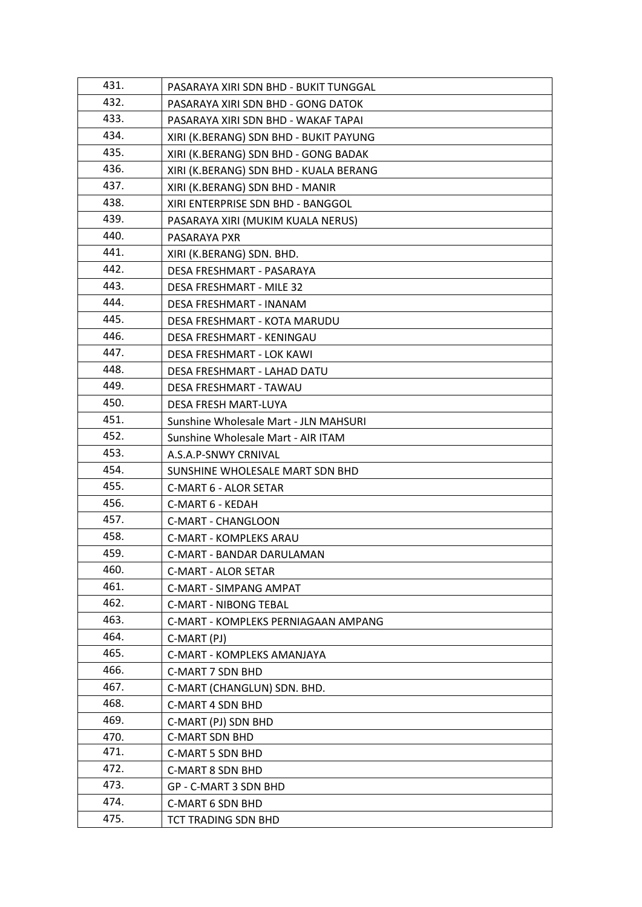| 431. | PASARAYA XIRI SDN BHD - BUKIT TUNGGAL  |
|------|----------------------------------------|
| 432. | PASARAYA XIRI SDN BHD - GONG DATOK     |
| 433. | PASARAYA XIRI SDN BHD - WAKAF TAPAI    |
| 434. | XIRI (K.BERANG) SDN BHD - BUKIT PAYUNG |
| 435. | XIRI (K.BERANG) SDN BHD - GONG BADAK   |
| 436. | XIRI (K.BERANG) SDN BHD - KUALA BERANG |
| 437. | XIRI (K.BERANG) SDN BHD - MANIR        |
| 438. | XIRI ENTERPRISE SDN BHD - BANGGOL      |
| 439. | PASARAYA XIRI (MUKIM KUALA NERUS)      |
| 440. | PASARAYA PXR                           |
| 441. | XIRI (K.BERANG) SDN. BHD.              |
| 442. | DESA FRESHMART - PASARAYA              |
| 443. | DESA FRESHMART - MILE 32               |
| 444. | DESA FRESHMART - INANAM                |
| 445. | DESA FRESHMART - KOTA MARUDU           |
| 446. | DESA FRESHMART - KENINGAU              |
| 447. | DESA FRESHMART - LOK KAWI              |
| 448. | DESA FRESHMART - LAHAD DATU            |
| 449. | DESA FRESHMART - TAWAU                 |
| 450. | DESA FRESH MART-LUYA                   |
| 451. | Sunshine Wholesale Mart - JLN MAHSURI  |
| 452. | Sunshine Wholesale Mart - AIR ITAM     |
| 453. | A.S.A.P-SNWY CRNIVAL                   |
| 454. | SUNSHINE WHOLESALE MART SDN BHD        |
| 455. | C-MART 6 - ALOR SETAR                  |
| 456. | C-MART 6 - KEDAH                       |
| 457. | <b>C-MART - CHANGLOON</b>              |
| 458. | <b>C-MART - KOMPLEKS ARAU</b>          |
| 459. | C-MART - BANDAR DARULAMAN              |
| 460. | C-MART - ALOR SETAR                    |
| 461. | C-MART - SIMPANG AMPAT                 |
| 462. | <b>C-MART - NIBONG TEBAL</b>           |
| 463. | C-MART - KOMPLEKS PERNIAGAAN AMPANG    |
| 464. | C-MART (PJ)                            |
| 465. | C-MART - KOMPLEKS AMANJAYA             |
| 466. | <b>C-MART 7 SDN BHD</b>                |
| 467. | C-MART (CHANGLUN) SDN. BHD.            |
| 468. | <b>C-MART 4 SDN BHD</b>                |
| 469. | C-MART (PJ) SDN BHD                    |
| 470. | <b>C-MART SDN BHD</b>                  |
| 471. | <b>C-MART 5 SDN BHD</b>                |
| 472. | <b>C-MART 8 SDN BHD</b>                |
| 473. | GP - C-MART 3 SDN BHD                  |
| 474. | C-MART 6 SDN BHD                       |
| 475. | TCT TRADING SDN BHD                    |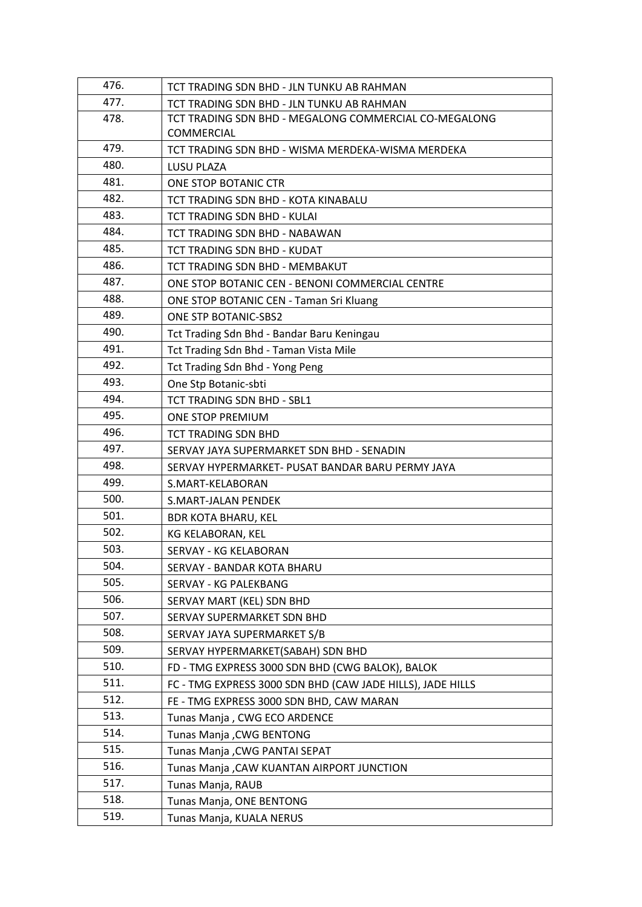| 476. | TCT TRADING SDN BHD - JLN TUNKU AB RAHMAN                  |
|------|------------------------------------------------------------|
| 477. | TCT TRADING SDN BHD - JLN TUNKU AB RAHMAN                  |
| 478. | TCT TRADING SDN BHD - MEGALONG COMMERCIAL CO-MEGALONG      |
|      | COMMERCIAL                                                 |
| 479. | TCT TRADING SDN BHD - WISMA MERDEKA-WISMA MERDEKA          |
| 480. | LUSU PLAZA                                                 |
| 481. | ONE STOP BOTANIC CTR                                       |
| 482. | TCT TRADING SDN BHD - KOTA KINABALU                        |
| 483. | TCT TRADING SDN BHD - KULAI                                |
| 484. | TCT TRADING SDN BHD - NABAWAN                              |
| 485. | TCT TRADING SDN BHD - KUDAT                                |
| 486. | TCT TRADING SDN BHD - MEMBAKUT                             |
| 487. | ONE STOP BOTANIC CEN - BENONI COMMERCIAL CENTRE            |
| 488. | ONE STOP BOTANIC CEN - Taman Sri Kluang                    |
| 489. | ONE STP BOTANIC-SBS2                                       |
| 490. | Tct Trading Sdn Bhd - Bandar Baru Keningau                 |
| 491. | Tct Trading Sdn Bhd - Taman Vista Mile                     |
| 492. | Tct Trading Sdn Bhd - Yong Peng                            |
| 493. | One Stp Botanic-sbti                                       |
| 494. | TCT TRADING SDN BHD - SBL1                                 |
| 495. | ONE STOP PREMIUM                                           |
| 496. | TCT TRADING SDN BHD                                        |
| 497. | SERVAY JAYA SUPERMARKET SDN BHD - SENADIN                  |
| 498. | SERVAY HYPERMARKET- PUSAT BANDAR BARU PERMY JAYA           |
| 499. | S.MART-KELABORAN                                           |
| 500. | S.MART-JALAN PENDEK                                        |
| 501. | <b>BDR KOTA BHARU, KEL</b>                                 |
| 502. | KG KELABORAN, KEL                                          |
| 503. | SERVAY - KG KELABORAN                                      |
| 504. | SERVAY - BANDAR KOTA BHARU                                 |
| 505. | SERVAY - KG PALEKBANG                                      |
| 506. | SERVAY MART (KEL) SDN BHD                                  |
| 507. | SERVAY SUPERMARKET SDN BHD                                 |
| 508. | SERVAY JAYA SUPERMARKET S/B                                |
| 509. | SERVAY HYPERMARKET(SABAH) SDN BHD                          |
| 510. | FD - TMG EXPRESS 3000 SDN BHD (CWG BALOK), BALOK           |
| 511. | FC - TMG EXPRESS 3000 SDN BHD (CAW JADE HILLS), JADE HILLS |
| 512. | FE - TMG EXPRESS 3000 SDN BHD, CAW MARAN                   |
| 513. | Tunas Manja, CWG ECO ARDENCE                               |
| 514. | <b>Tunas Manja, CWG BENTONG</b>                            |
| 515. | Tunas Manja , CWG PANTAI SEPAT                             |
| 516. | Tunas Manja , CAW KUANTAN AIRPORT JUNCTION                 |
| 517. | Tunas Manja, RAUB                                          |
| 518. | Tunas Manja, ONE BENTONG                                   |
| 519. | Tunas Manja, KUALA NERUS                                   |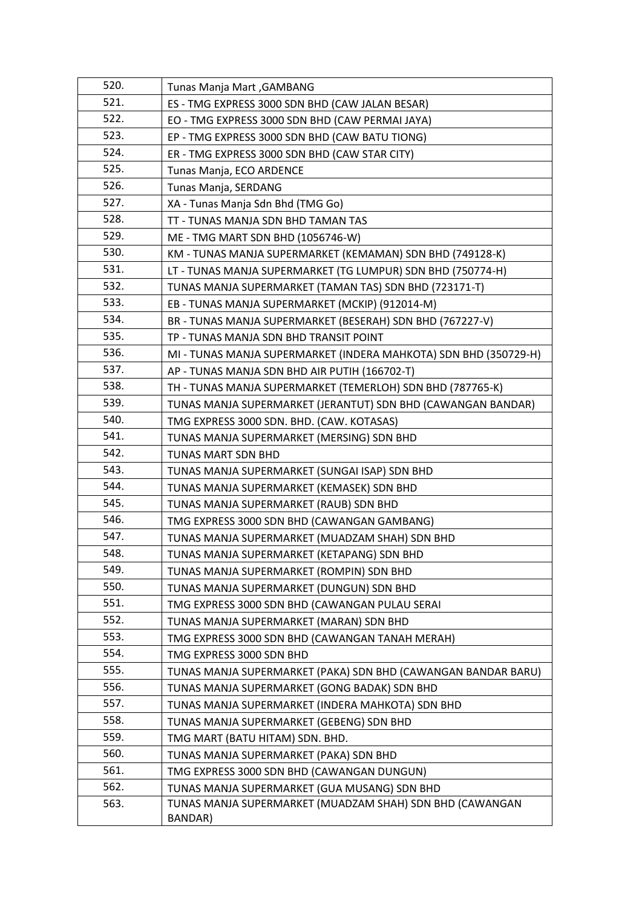| 520. | <b>Tunas Manja Mart, GAMBANG</b>                                 |
|------|------------------------------------------------------------------|
| 521. | ES - TMG EXPRESS 3000 SDN BHD (CAW JALAN BESAR)                  |
| 522. | EO - TMG EXPRESS 3000 SDN BHD (CAW PERMAI JAYA)                  |
| 523. | EP - TMG EXPRESS 3000 SDN BHD (CAW BATU TIONG)                   |
| 524. | ER - TMG EXPRESS 3000 SDN BHD (CAW STAR CITY)                    |
| 525. | Tunas Manja, ECO ARDENCE                                         |
| 526. | Tunas Manja, SERDANG                                             |
| 527. | XA - Tunas Manja Sdn Bhd (TMG Go)                                |
| 528. | TT - TUNAS MANJA SDN BHD TAMAN TAS                               |
| 529. | ME - TMG MART SDN BHD (1056746-W)                                |
| 530. | KM - TUNAS MANJA SUPERMARKET (KEMAMAN) SDN BHD (749128-K)        |
| 531. | LT - TUNAS MANJA SUPERMARKET (TG LUMPUR) SDN BHD (750774-H)      |
| 532. | TUNAS MANJA SUPERMARKET (TAMAN TAS) SDN BHD (723171-T)           |
| 533. | EB - TUNAS MANJA SUPERMARKET (MCKIP) (912014-M)                  |
| 534. | BR - TUNAS MANJA SUPERMARKET (BESERAH) SDN BHD (767227-V)        |
| 535. | TP - TUNAS MANJA SDN BHD TRANSIT POINT                           |
| 536. | MI - TUNAS MANJA SUPERMARKET (INDERA MAHKOTA) SDN BHD (350729-H) |
| 537. | AP - TUNAS MANJA SDN BHD AIR PUTIH (166702-T)                    |
| 538. | TH - TUNAS MANJA SUPERMARKET (TEMERLOH) SDN BHD (787765-K)       |
| 539. | TUNAS MANJA SUPERMARKET (JERANTUT) SDN BHD (CAWANGAN BANDAR)     |
| 540. | TMG EXPRESS 3000 SDN. BHD. (CAW. KOTASAS)                        |
| 541. | TUNAS MANJA SUPERMARKET (MERSING) SDN BHD                        |
| 542. | <b>TUNAS MART SDN BHD</b>                                        |
| 543. | TUNAS MANJA SUPERMARKET (SUNGAI ISAP) SDN BHD                    |
| 544. | TUNAS MANJA SUPERMARKET (KEMASEK) SDN BHD                        |
| 545. | TUNAS MANJA SUPERMARKET (RAUB) SDN BHD                           |
| 546. | TMG EXPRESS 3000 SDN BHD (CAWANGAN GAMBANG)                      |
| 547. | TUNAS MANJA SUPERMARKET (MUADZAM SHAH) SDN BHD                   |
| 548. | TUNAS MANJA SUPERMARKET (KETAPANG) SDN BHD                       |
| 549. | TUNAS MANJA SUPERMARKET (ROMPIN) SDN BHD                         |
| 550. | TUNAS MANJA SUPERMARKET (DUNGUN) SDN BHD                         |
| 551. | TMG EXPRESS 3000 SDN BHD (CAWANGAN PULAU SERAI                   |
| 552. | TUNAS MANJA SUPERMARKET (MARAN) SDN BHD                          |
| 553. | TMG EXPRESS 3000 SDN BHD (CAWANGAN TANAH MERAH)                  |
| 554. | TMG EXPRESS 3000 SDN BHD                                         |
| 555. | TUNAS MANJA SUPERMARKET (PAKA) SDN BHD (CAWANGAN BANDAR BARU)    |
| 556. | TUNAS MANJA SUPERMARKET (GONG BADAK) SDN BHD                     |
| 557. | TUNAS MANJA SUPERMARKET (INDERA MAHKOTA) SDN BHD                 |
| 558. | TUNAS MANJA SUPERMARKET (GEBENG) SDN BHD                         |
| 559. | TMG MART (BATU HITAM) SDN. BHD.                                  |
| 560. | TUNAS MANJA SUPERMARKET (PAKA) SDN BHD                           |
| 561. | TMG EXPRESS 3000 SDN BHD (CAWANGAN DUNGUN)                       |
| 562. | TUNAS MANJA SUPERMARKET (GUA MUSANG) SDN BHD                     |
| 563. | TUNAS MANJA SUPERMARKET (MUADZAM SHAH) SDN BHD (CAWANGAN         |
|      | BANDAR)                                                          |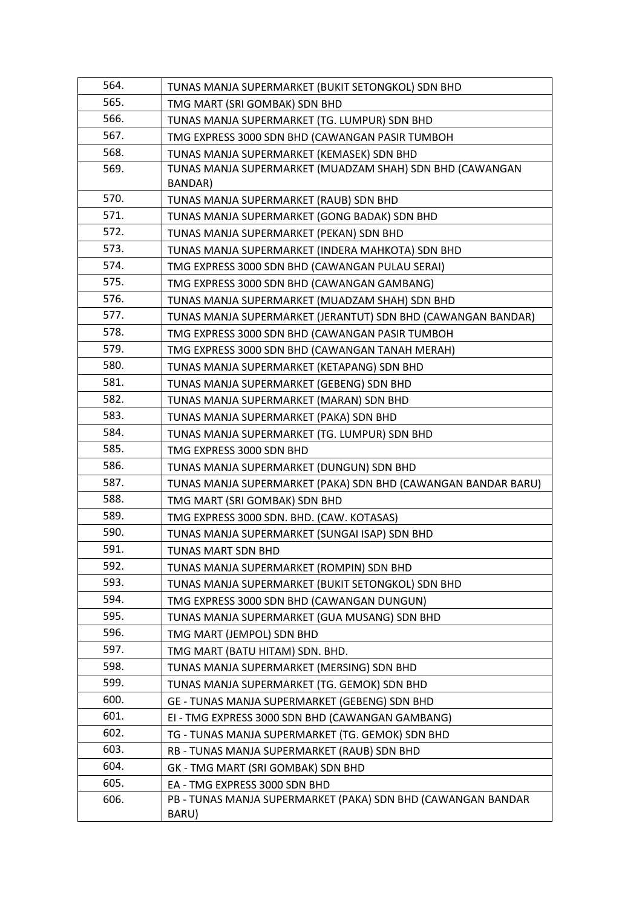| 564. | TUNAS MANJA SUPERMARKET (BUKIT SETONGKOL) SDN BHD             |
|------|---------------------------------------------------------------|
| 565. | TMG MART (SRI GOMBAK) SDN BHD                                 |
| 566. | TUNAS MANJA SUPERMARKET (TG. LUMPUR) SDN BHD                  |
| 567. | TMG EXPRESS 3000 SDN BHD (CAWANGAN PASIR TUMBOH               |
| 568. | TUNAS MANJA SUPERMARKET (KEMASEK) SDN BHD                     |
| 569. | TUNAS MANJA SUPERMARKET (MUADZAM SHAH) SDN BHD (CAWANGAN      |
|      | BANDAR)                                                       |
| 570. | TUNAS MANJA SUPERMARKET (RAUB) SDN BHD                        |
| 571. | TUNAS MANJA SUPERMARKET (GONG BADAK) SDN BHD                  |
| 572. | TUNAS MANJA SUPERMARKET (PEKAN) SDN BHD                       |
| 573. | TUNAS MANJA SUPERMARKET (INDERA MAHKOTA) SDN BHD              |
| 574. | TMG EXPRESS 3000 SDN BHD (CAWANGAN PULAU SERAI)               |
| 575. | TMG EXPRESS 3000 SDN BHD (CAWANGAN GAMBANG)                   |
| 576. | TUNAS MANJA SUPERMARKET (MUADZAM SHAH) SDN BHD                |
| 577. | TUNAS MANJA SUPERMARKET (JERANTUT) SDN BHD (CAWANGAN BANDAR)  |
| 578. | TMG EXPRESS 3000 SDN BHD (CAWANGAN PASIR TUMBOH               |
| 579. | TMG EXPRESS 3000 SDN BHD (CAWANGAN TANAH MERAH)               |
| 580. | TUNAS MANJA SUPERMARKET (KETAPANG) SDN BHD                    |
| 581. | TUNAS MANJA SUPERMARKET (GEBENG) SDN BHD                      |
| 582. | TUNAS MANJA SUPERMARKET (MARAN) SDN BHD                       |
| 583. | TUNAS MANJA SUPERMARKET (PAKA) SDN BHD                        |
| 584. | TUNAS MANJA SUPERMARKET (TG. LUMPUR) SDN BHD                  |
| 585. | TMG EXPRESS 3000 SDN BHD                                      |
| 586. | TUNAS MANJA SUPERMARKET (DUNGUN) SDN BHD                      |
| 587. | TUNAS MANJA SUPERMARKET (PAKA) SDN BHD (CAWANGAN BANDAR BARU) |
| 588. | TMG MART (SRI GOMBAK) SDN BHD                                 |
| 589. | TMG EXPRESS 3000 SDN. BHD. (CAW. KOTASAS)                     |
| 590. | TUNAS MANJA SUPERMARKET (SUNGAI ISAP) SDN BHD                 |
| 591. | TUNAS MART SDN BHD                                            |
| 592. | TUNAS MANJA SUPERMARKET (ROMPIN) SDN BHD                      |
| 593. | TUNAS MANJA SUPERMARKET (BUKIT SETONGKOL) SDN BHD             |
| 594. | TMG EXPRESS 3000 SDN BHD (CAWANGAN DUNGUN)                    |
| 595. | TUNAS MANJA SUPERMARKET (GUA MUSANG) SDN BHD                  |
| 596. | TMG MART (JEMPOL) SDN BHD                                     |
| 597. | TMG MART (BATU HITAM) SDN. BHD.                               |
| 598. | TUNAS MANJA SUPERMARKET (MERSING) SDN BHD                     |
| 599. | TUNAS MANJA SUPERMARKET (TG. GEMOK) SDN BHD                   |
| 600. | GE - TUNAS MANJA SUPERMARKET (GEBENG) SDN BHD                 |
| 601. | EI - TMG EXPRESS 3000 SDN BHD (CAWANGAN GAMBANG)              |
| 602. | TG - TUNAS MANJA SUPERMARKET (TG. GEMOK) SDN BHD              |
| 603. | RB - TUNAS MANJA SUPERMARKET (RAUB) SDN BHD                   |
| 604. | GK - TMG MART (SRI GOMBAK) SDN BHD                            |
| 605. | EA - TMG EXPRESS 3000 SDN BHD                                 |
| 606. | PB - TUNAS MANJA SUPERMARKET (PAKA) SDN BHD (CAWANGAN BANDAR  |
|      | BARU)                                                         |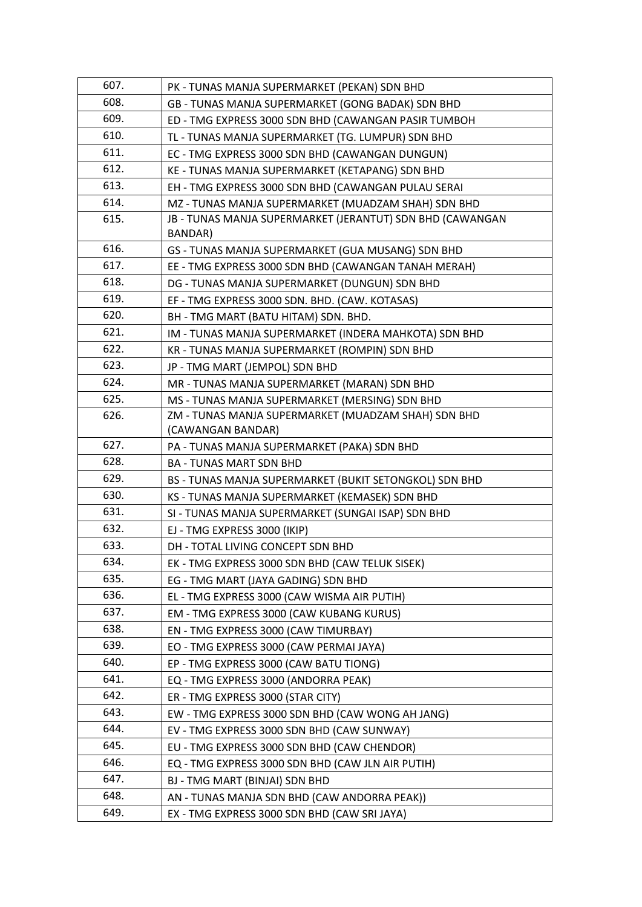| 607. | PK - TUNAS MANJA SUPERMARKET (PEKAN) SDN BHD              |
|------|-----------------------------------------------------------|
| 608. | GB - TUNAS MANJA SUPERMARKET (GONG BADAK) SDN BHD         |
| 609. | ED - TMG EXPRESS 3000 SDN BHD (CAWANGAN PASIR TUMBOH      |
| 610. | TL - TUNAS MANJA SUPERMARKET (TG. LUMPUR) SDN BHD         |
| 611. | EC - TMG EXPRESS 3000 SDN BHD (CAWANGAN DUNGUN)           |
| 612. | KE - TUNAS MANJA SUPERMARKET (KETAPANG) SDN BHD           |
| 613. | EH - TMG EXPRESS 3000 SDN BHD (CAWANGAN PULAU SERAI       |
| 614. | MZ - TUNAS MANJA SUPERMARKET (MUADZAM SHAH) SDN BHD       |
| 615. | JB - TUNAS MANJA SUPERMARKET (JERANTUT) SDN BHD (CAWANGAN |
|      | BANDAR)                                                   |
| 616. | GS - TUNAS MANJA SUPERMARKET (GUA MUSANG) SDN BHD         |
| 617. | EE - TMG EXPRESS 3000 SDN BHD (CAWANGAN TANAH MERAH)      |
| 618. | DG - TUNAS MANJA SUPERMARKET (DUNGUN) SDN BHD             |
| 619. | EF - TMG EXPRESS 3000 SDN. BHD. (CAW. KOTASAS)            |
| 620. | BH - TMG MART (BATU HITAM) SDN. BHD.                      |
| 621. | IM - TUNAS MANJA SUPERMARKET (INDERA MAHKOTA) SDN BHD     |
| 622. | KR - TUNAS MANJA SUPERMARKET (ROMPIN) SDN BHD             |
| 623. | JP - TMG MART (JEMPOL) SDN BHD                            |
| 624. | MR - TUNAS MANJA SUPERMARKET (MARAN) SDN BHD              |
| 625. | MS - TUNAS MANJA SUPERMARKET (MERSING) SDN BHD            |
| 626. | ZM - TUNAS MANJA SUPERMARKET (MUADZAM SHAH) SDN BHD       |
|      | (CAWANGAN BANDAR)                                         |
| 627. | PA - TUNAS MANJA SUPERMARKET (PAKA) SDN BHD               |
| 628. | <b>BA - TUNAS MART SDN BHD</b>                            |
| 629. | BS - TUNAS MANJA SUPERMARKET (BUKIT SETONGKOL) SDN BHD    |
| 630. | KS - TUNAS MANJA SUPERMARKET (KEMASEK) SDN BHD            |
| 631. | SI - TUNAS MANJA SUPERMARKET (SUNGAI ISAP) SDN BHD        |
| 632. | EJ - TMG EXPRESS 3000 (IKIP)                              |
| 633. | DH - TOTAL LIVING CONCEPT SDN BHD                         |
| 634. | EK - TMG EXPRESS 3000 SDN BHD (CAW TELUK SISEK)           |
| 635. | EG - TMG MART (JAYA GADING) SDN BHD                       |
| 636. | EL - TMG EXPRESS 3000 (CAW WISMA AIR PUTIH)               |
| 637. | EM - TMG EXPRESS 3000 (CAW KUBANG KURUS)                  |
| 638. | EN - TMG EXPRESS 3000 (CAW TIMURBAY)                      |
| 639. | EO - TMG EXPRESS 3000 (CAW PERMAI JAYA)                   |
| 640. | EP - TMG EXPRESS 3000 (CAW BATU TIONG)                    |
| 641. | EQ - TMG EXPRESS 3000 (ANDORRA PEAK)                      |
| 642. | ER - TMG EXPRESS 3000 (STAR CITY)                         |
| 643. | EW - TMG EXPRESS 3000 SDN BHD (CAW WONG AH JANG)          |
| 644. | EV - TMG EXPRESS 3000 SDN BHD (CAW SUNWAY)                |
| 645. | EU - TMG EXPRESS 3000 SDN BHD (CAW CHENDOR)               |
| 646. | EQ - TMG EXPRESS 3000 SDN BHD (CAW JLN AIR PUTIH)         |
| 647. | BJ - TMG MART (BINJAI) SDN BHD                            |
| 648. | AN - TUNAS MANJA SDN BHD (CAW ANDORRA PEAK))              |
| 649. | EX - TMG EXPRESS 3000 SDN BHD (CAW SRI JAYA)              |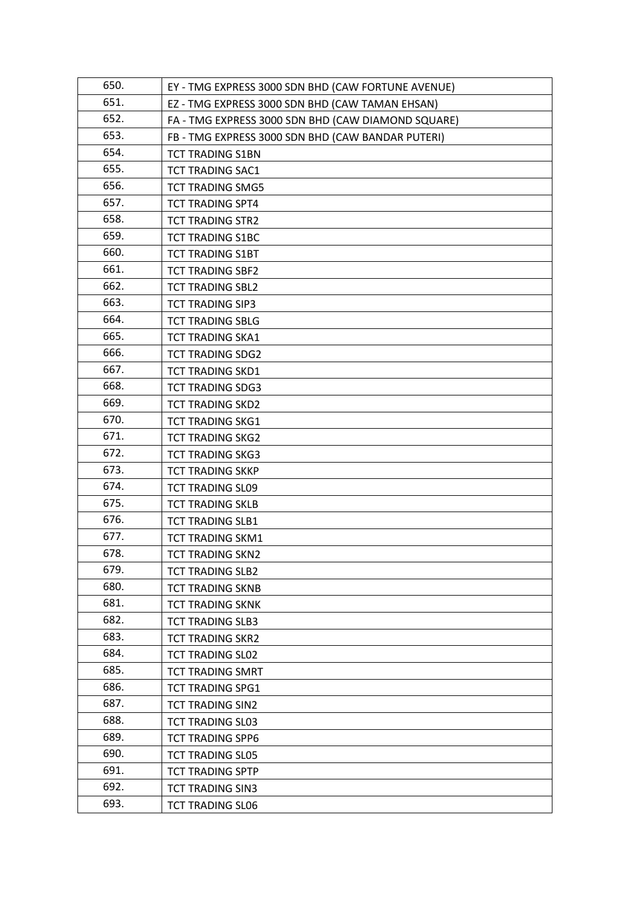| 650. | EY - TMG EXPRESS 3000 SDN BHD (CAW FORTUNE AVENUE) |
|------|----------------------------------------------------|
| 651. | EZ - TMG EXPRESS 3000 SDN BHD (CAW TAMAN EHSAN)    |
| 652. | FA - TMG EXPRESS 3000 SDN BHD (CAW DIAMOND SQUARE) |
| 653. | FB - TMG EXPRESS 3000 SDN BHD (CAW BANDAR PUTERI)  |
| 654. | <b>TCT TRADING S1BN</b>                            |
| 655. | <b>TCT TRADING SAC1</b>                            |
| 656. | <b>TCT TRADING SMG5</b>                            |
| 657. | <b>TCT TRADING SPT4</b>                            |
| 658. | <b>TCT TRADING STR2</b>                            |
| 659. | <b>TCT TRADING S1BC</b>                            |
| 660. | <b>TCT TRADING S1BT</b>                            |
| 661. | <b>TCT TRADING SBF2</b>                            |
| 662. | <b>TCT TRADING SBL2</b>                            |
| 663. | <b>TCT TRADING SIP3</b>                            |
| 664. | <b>TCT TRADING SBLG</b>                            |
| 665. | <b>TCT TRADING SKA1</b>                            |
| 666. | <b>TCT TRADING SDG2</b>                            |
| 667. | <b>TCT TRADING SKD1</b>                            |
| 668. | <b>TCT TRADING SDG3</b>                            |
| 669. | <b>TCT TRADING SKD2</b>                            |
| 670. | <b>TCT TRADING SKG1</b>                            |
| 671. | <b>TCT TRADING SKG2</b>                            |
| 672. | <b>TCT TRADING SKG3</b>                            |
| 673. | <b>TCT TRADING SKKP</b>                            |
| 674. | <b>TCT TRADING SL09</b>                            |
| 675. | <b>TCT TRADING SKLB</b>                            |
| 676. | <b>TCT TRADING SLB1</b>                            |
| 677. | <b>TCT TRADING SKM1</b>                            |
| 678. | <b>TCT TRADING SKN2</b>                            |
| 679. | <b>TCT TRADING SLB2</b>                            |
| 680. | <b>TCT TRADING SKNB</b>                            |
| 681. | <b>TCT TRADING SKNK</b>                            |
| 682. | <b>TCT TRADING SLB3</b>                            |
| 683. | <b>TCT TRADING SKR2</b>                            |
| 684. | <b>TCT TRADING SL02</b>                            |
| 685. | <b>TCT TRADING SMRT</b>                            |
| 686. | <b>TCT TRADING SPG1</b>                            |
| 687. | <b>TCT TRADING SIN2</b>                            |
| 688. | <b>TCT TRADING SL03</b>                            |
| 689. | <b>TCT TRADING SPP6</b>                            |
| 690. | <b>TCT TRADING SL05</b>                            |
| 691. | <b>TCT TRADING SPTP</b>                            |
| 692. | <b>TCT TRADING SIN3</b>                            |
| 693. | <b>TCT TRADING SL06</b>                            |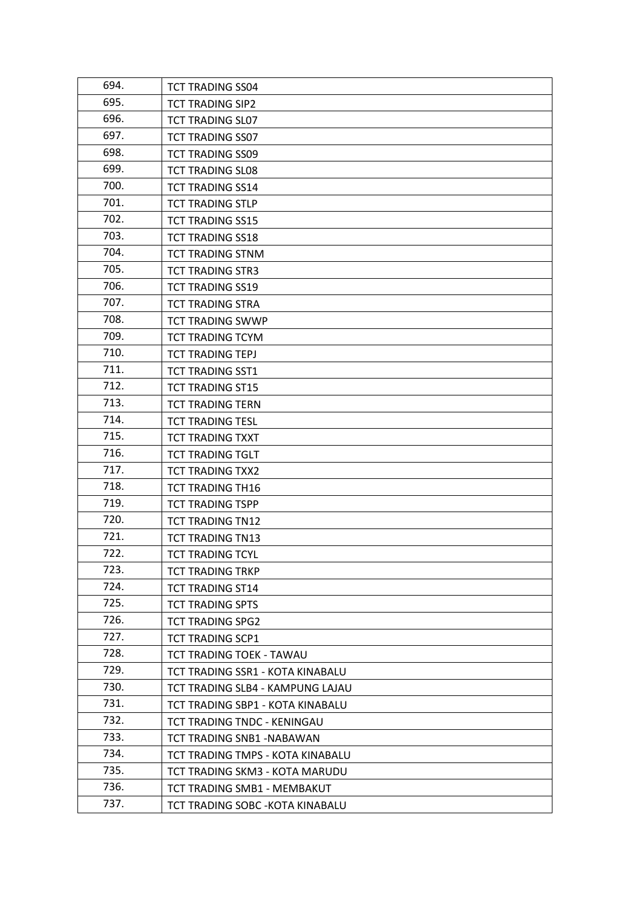| 694. | <b>TCT TRADING SS04</b>          |
|------|----------------------------------|
| 695. | <b>TCT TRADING SIP2</b>          |
| 696. | <b>TCT TRADING SL07</b>          |
| 697. | <b>TCT TRADING SS07</b>          |
| 698. | <b>TCT TRADING SS09</b>          |
| 699. | <b>TCT TRADING SL08</b>          |
| 700. | <b>TCT TRADING SS14</b>          |
| 701. | <b>TCT TRADING STLP</b>          |
| 702. | <b>TCT TRADING SS15</b>          |
| 703. | <b>TCT TRADING SS18</b>          |
| 704. | <b>TCT TRADING STNM</b>          |
| 705. | <b>TCT TRADING STR3</b>          |
| 706. | <b>TCT TRADING SS19</b>          |
| 707. | <b>TCT TRADING STRA</b>          |
| 708. | <b>TCT TRADING SWWP</b>          |
| 709. | <b>TCT TRADING TCYM</b>          |
| 710. | <b>TCT TRADING TEPJ</b>          |
| 711. | <b>TCT TRADING SST1</b>          |
| 712. | <b>TCT TRADING ST15</b>          |
| 713. | <b>TCT TRADING TERN</b>          |
| 714. | <b>TCT TRADING TESL</b>          |
| 715. | <b>TCT TRADING TXXT</b>          |
| 716. | <b>TCT TRADING TGLT</b>          |
| 717. | <b>TCT TRADING TXX2</b>          |
| 718. | <b>TCT TRADING TH16</b>          |
| 719. | <b>TCT TRADING TSPP</b>          |
| 720. | <b>TCT TRADING TN12</b>          |
| 721. | <b>TCT TRADING TN13</b>          |
| 722. | <b>TCT TRADING TCYL</b>          |
| 723. | <b>TCT TRADING TRKP</b>          |
| 724. | <b>TCT TRADING ST14</b>          |
| 725. | <b>TCT TRADING SPTS</b>          |
| 726. | <b>TCT TRADING SPG2</b>          |
| 727. | <b>TCT TRADING SCP1</b>          |
| 728. | TCT TRADING TOEK - TAWAU         |
| 729. | TCT TRADING SSR1 - KOTA KINABALU |
| 730. | TCT TRADING SLB4 - KAMPUNG LAJAU |
| 731. | TCT TRADING SBP1 - KOTA KINABALU |
| 732. | TCT TRADING TNDC - KENINGAU      |
| 733. | TCT TRADING SNB1 -NABAWAN        |
| 734. | TCT TRADING TMPS - KOTA KINABALU |
| 735. | TCT TRADING SKM3 - KOTA MARUDU   |
| 736. | TCT TRADING SMB1 - MEMBAKUT      |
| 737. | TCT TRADING SOBC - KOTA KINABALU |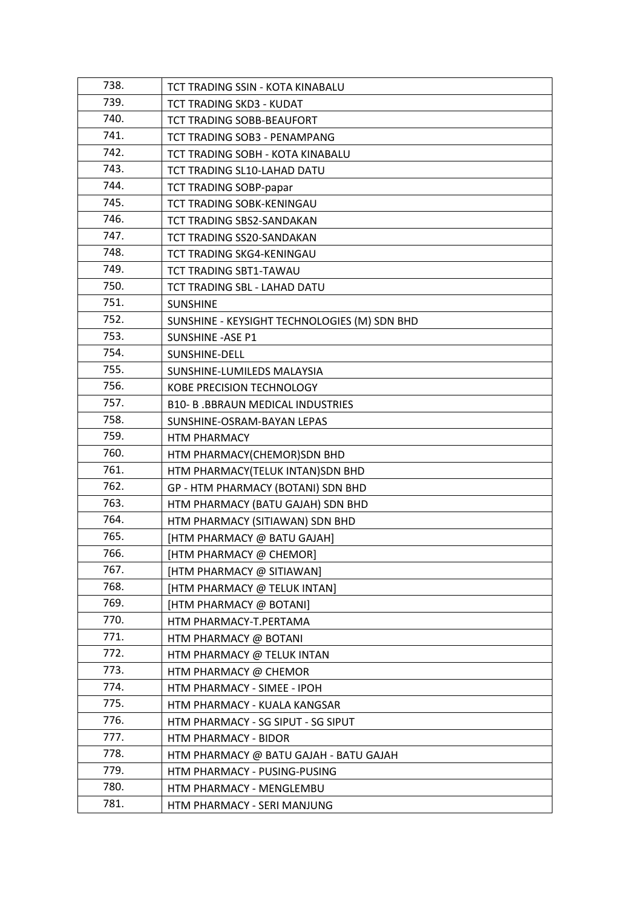| 738. | TCT TRADING SSIN - KOTA KINABALU             |
|------|----------------------------------------------|
| 739. | TCT TRADING SKD3 - KUDAT                     |
| 740. | TCT TRADING SOBB-BEAUFORT                    |
| 741. | <b>TCT TRADING SOB3 - PENAMPANG</b>          |
| 742. | TCT TRADING SOBH - KOTA KINABALU             |
| 743. | TCT TRADING SL10-LAHAD DATU                  |
| 744. | <b>TCT TRADING SOBP-papar</b>                |
| 745. | TCT TRADING SOBK-KENINGAU                    |
| 746. | TCT TRADING SBS2-SANDAKAN                    |
| 747. | TCT TRADING SS20-SANDAKAN                    |
| 748. | TCT TRADING SKG4-KENINGAU                    |
| 749. | TCT TRADING SBT1-TAWAU                       |
| 750. | TCT TRADING SBL - LAHAD DATU                 |
| 751. | <b>SUNSHINE</b>                              |
| 752. | SUNSHINE - KEYSIGHT TECHNOLOGIES (M) SDN BHD |
| 753. | <b>SUNSHINE - ASE P1</b>                     |
| 754. | SUNSHINE-DELL                                |
| 755. | SUNSHINE-LUMILEDS MALAYSIA                   |
| 756. | KOBE PRECISION TECHNOLOGY                    |
| 757. | <b>B10- B. BBRAUN MEDICAL INDUSTRIES</b>     |
| 758. | SUNSHINE-OSRAM-BAYAN LEPAS                   |
| 759. | <b>HTM PHARMACY</b>                          |
| 760. | HTM PHARMACY(CHEMOR)SDN BHD                  |
| 761. | HTM PHARMACY(TELUK INTAN)SDN BHD             |
| 762. | GP - HTM PHARMACY (BOTANI) SDN BHD           |
| 763. | HTM PHARMACY (BATU GAJAH) SDN BHD            |
| 764. | HTM PHARMACY (SITIAWAN) SDN BHD              |
| 765. | [HTM PHARMACY @ BATU GAJAH]                  |
| 766. | [HTM PHARMACY @ CHEMOR]                      |
| 767. | [HTM PHARMACY @ SITIAWAN]                    |
| 768. | [HTM PHARMACY @ TELUK INTAN]                 |
| 769. | [HTM PHARMACY @ BOTANI]                      |
| 770. | HTM PHARMACY-T.PERTAMA                       |
| 771. | HTM PHARMACY @ BOTANI                        |
| 772. | HTM PHARMACY @ TELUK INTAN                   |
| 773. | HTM PHARMACY @ CHEMOR                        |
| 774. | HTM PHARMACY - SIMEE - IPOH                  |
| 775. | HTM PHARMACY - KUALA KANGSAR                 |
| 776. | HTM PHARMACY - SG SIPUT - SG SIPUT           |
| 777. | HTM PHARMACY - BIDOR                         |
| 778. | HTM PHARMACY @ BATU GAJAH - BATU GAJAH       |
| 779. | HTM PHARMACY - PUSING-PUSING                 |
| 780. | HTM PHARMACY - MENGLEMBU                     |
| 781. | HTM PHARMACY - SERI MANJUNG                  |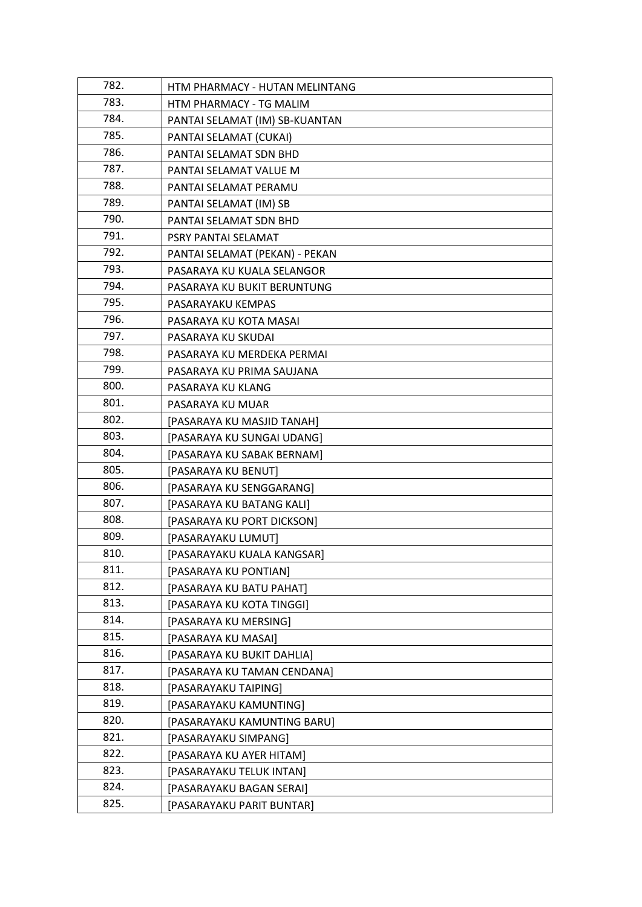| 782. | HTM PHARMACY - HUTAN MELINTANG |
|------|--------------------------------|
| 783. | HTM PHARMACY - TG MALIM        |
| 784. | PANTAI SELAMAT (IM) SB-KUANTAN |
| 785. | PANTAI SELAMAT (CUKAI)         |
| 786. | PANTAI SELAMAT SDN BHD         |
| 787. | PANTAI SELAMAT VALUE M         |
| 788. | PANTAI SELAMAT PERAMU          |
| 789. | PANTAI SELAMAT (IM) SB         |
| 790. | PANTAI SELAMAT SDN BHD         |
| 791. | PSRY PANTAI SELAMAT            |
| 792. | PANTAI SELAMAT (PEKAN) - PEKAN |
| 793. | PASARAYA KU KUALA SELANGOR     |
| 794. | PASARAYA KU BUKIT BERUNTUNG    |
| 795. | PASARAYAKU KEMPAS              |
| 796. | PASARAYA KU KOTA MASAI         |
| 797. | PASARAYA KU SKUDAI             |
| 798. | PASARAYA KU MERDEKA PERMAI     |
| 799. | PASARAYA KU PRIMA SAUJANA      |
| 800. | PASARAYA KU KLANG              |
| 801. | PASARAYA KU MUAR               |
| 802. | [PASARAYA KU MASJID TANAH]     |
| 803. | [PASARAYA KU SUNGAI UDANG]     |
| 804. | [PASARAYA KU SABAK BERNAM]     |
| 805. | [PASARAYA KU BENUT]            |
| 806. | [PASARAYA KU SENGGARANG]       |
| 807. | [PASARAYA KU BATANG KALI]      |
| 808. | [PASARAYA KU PORT DICKSON]     |
| 809. | [PASARAYAKU LUMUT]             |
| 810. | [PASARAYAKU KUALA KANGSAR]     |
| 811. | [PASARAYA KU PONTIAN]          |
| 812. | [PASARAYA KU BATU PAHAT]       |
| 813. | [PASARAYA KU KOTA TINGGI]      |
| 814. | [PASARAYA KU MERSING]          |
| 815. | [PASARAYA KU MASAI]            |
| 816. | [PASARAYA KU BUKIT DAHLIA]     |
| 817. | [PASARAYA KU TAMAN CENDANA]    |
| 818. | [PASARAYAKU TAIPING]           |
| 819. | [PASARAYAKU KAMUNTING]         |
| 820. | [PASARAYAKU KAMUNTING BARU]    |
| 821. | [PASARAYAKU SIMPANG]           |
| 822. | [PASARAYA KU AYER HITAM]       |
| 823. | [PASARAYAKU TELUK INTAN]       |
| 824. | [PASARAYAKU BAGAN SERAI]       |
| 825. | [PASARAYAKU PARIT BUNTAR]      |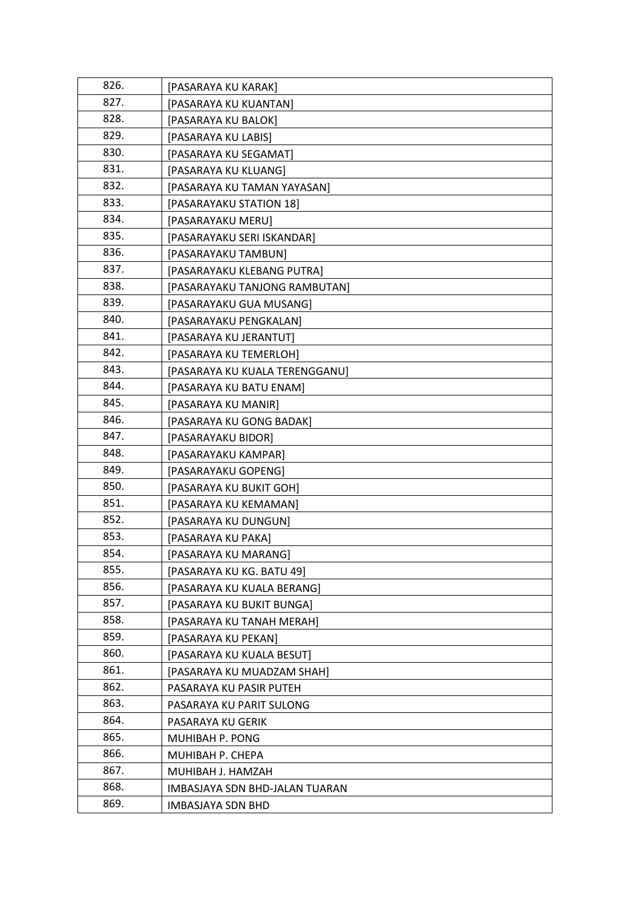| 826. | [PASARAYA KU KARAK]            |
|------|--------------------------------|
| 827. | [PASARAYA KU KUANTAN]          |
| 828. | [PASARAYA KU BALOK]            |
| 829. | [PASARAYA KU LABIS]            |
| 830. | [PASARAYA KU SEGAMAT]          |
| 831. | [PASARAYA KU KLUANG]           |
| 832. | [PASARAYA KU TAMAN YAYASAN]    |
| 833. | [PASARAYAKU STATION 18]        |
| 834. | [PASARAYAKU MERU]              |
| 835. | [PASARAYAKU SERI ISKANDAR]     |
| 836. | [PASARAYAKU TAMBUN]            |
| 837. | [PASARAYAKU KLEBANG PUTRA]     |
| 838. | [PASARAYAKU TANJONG RAMBUTAN]  |
| 839. | [PASARAYAKU GUA MUSANG]        |
| 840. | [PASARAYAKU PENGKALAN]         |
| 841. | [PASARAYA KU JERANTUT]         |
| 842. | [PASARAYA KU TEMERLOH]         |
| 843. | [PASARAYA KU KUALA TERENGGANU] |
| 844. | [PASARAYA KU BATU ENAM]        |
| 845. | [PASARAYA KU MANIR]            |
| 846. | [PASARAYA KU GONG BADAK]       |
| 847. | [PASARAYAKU BIDOR]             |
| 848. | [PASARAYAKU KAMPAR]            |
| 849. | [PASARAYAKU GOPENG]            |
| 850. | [PASARAYA KU BUKIT GOH]        |
| 851. | [PASARAYA KU KEMAMAN]          |
| 852. | [PASARAYA KU DUNGUN]           |
| 853. | [PASARAYA KU PAKA]             |
| 854. | [PASARAYA KU MARANG]           |
| 855. | [PASARAYA KU KG. BATU 49]      |
| 856. | [PASARAYA KU KUALA BERANG]     |
| 857. | [PASARAYA KU BUKIT BUNGA]      |
| 858. | [PASARAYA KU TANAH MERAH]      |
| 859. | [PASARAYA KU PEKAN]            |
| 860. | [PASARAYA KU KUALA BESUT]      |
| 861. | [PASARAYA KU MUADZAM SHAH]     |
| 862. | PASARAYA KU PASIR PUTEH        |
| 863. | PASARAYA KU PARIT SULONG       |
| 864. | PASARAYA KU GERIK              |
| 865. | MUHIBAH P. PONG                |
| 866. | MUHIBAH P. CHEPA               |
| 867. | MUHIBAH J. HAMZAH              |
| 868. | IMBASJAYA SDN BHD-JALAN TUARAN |
| 869. | <b>IMBASJAYA SDN BHD</b>       |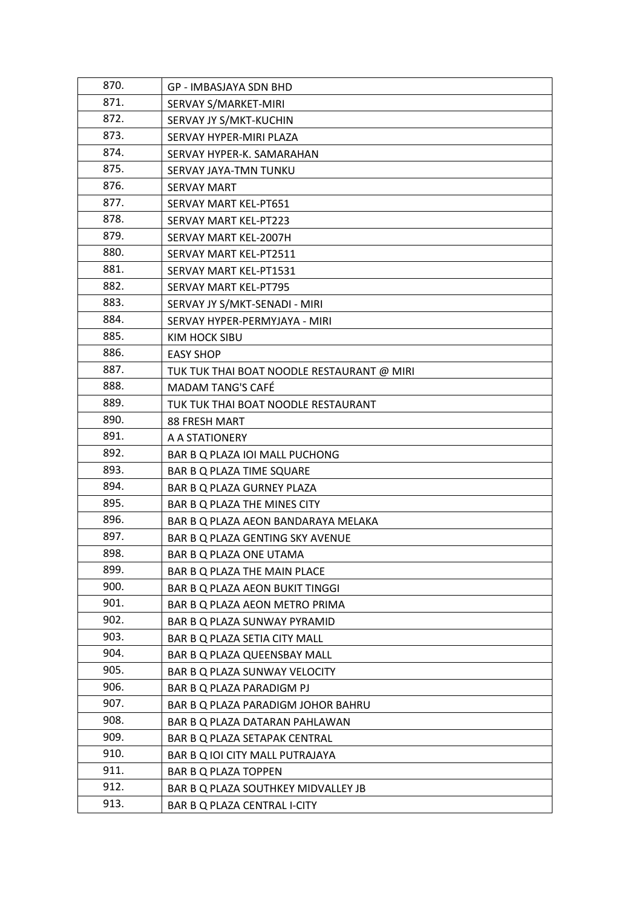| 870. | <b>GP - IMBASJAYA SDN BHD</b>              |
|------|--------------------------------------------|
| 871. | SERVAY S/MARKET-MIRI                       |
| 872. | SERVAY JY S/MKT-KUCHIN                     |
| 873. | SERVAY HYPER-MIRI PLAZA                    |
| 874. | SERVAY HYPER-K. SAMARAHAN                  |
| 875. | SERVAY JAYA-TMN TUNKU                      |
| 876. | <b>SERVAY MART</b>                         |
| 877. | SERVAY MART KEL-PT651                      |
| 878. | <b>SERVAY MART KEL-PT223</b>               |
| 879. | SERVAY MART KEL-2007H                      |
| 880. | SERVAY MART KEL-PT2511                     |
| 881. | SERVAY MART KEL-PT1531                     |
| 882. | <b>SERVAY MART KEL-PT795</b>               |
| 883. | SERVAY JY S/MKT-SENADI - MIRI              |
| 884. | SERVAY HYPER-PERMYJAYA - MIRI              |
| 885. | KIM HOCK SIBU                              |
| 886. | <b>EASY SHOP</b>                           |
| 887. | TUK TUK THAI BOAT NOODLE RESTAURANT @ MIRI |
| 888. | <b>MADAM TANG'S CAFÉ</b>                   |
| 889. | TUK TUK THAI BOAT NOODLE RESTAURANT        |
| 890. | <b>88 FRESH MART</b>                       |
| 891. | A A STATIONERY                             |
| 892. | BAR B Q PLAZA IOI MALL PUCHONG             |
| 893. | BAR B Q PLAZA TIME SQUARE                  |
| 894. | BAR B Q PLAZA GURNEY PLAZA                 |
| 895. | BAR B Q PLAZA THE MINES CITY               |
| 896. | BAR B Q PLAZA AEON BANDARAYA MELAKA        |
| 897. | BAR B Q PLAZA GENTING SKY AVENUE           |
| 898. | BAR B Q PLAZA ONE UTAMA                    |
| 899. | BAR B Q PLAZA THE MAIN PLACE               |
| 900. | BAR B Q PLAZA AEON BUKIT TINGGI            |
| 901. | BAR B Q PLAZA AEON METRO PRIMA             |
| 902. | BAR B Q PLAZA SUNWAY PYRAMID               |
| 903. | BAR B Q PLAZA SETIA CITY MALL              |
| 904. | BAR B Q PLAZA QUEENSBAY MALL               |
| 905. | BAR B Q PLAZA SUNWAY VELOCITY              |
| 906. | BAR B Q PLAZA PARADIGM PJ                  |
| 907. | BAR B Q PLAZA PARADIGM JOHOR BAHRU         |
| 908. | BAR B Q PLAZA DATARAN PAHLAWAN             |
| 909. | BAR B Q PLAZA SETAPAK CENTRAL              |
| 910. | BAR B Q IOI CITY MALL PUTRAJAYA            |
| 911. | BAR B Q PLAZA TOPPEN                       |
| 912. | BAR B Q PLAZA SOUTHKEY MIDVALLEY JB        |
| 913. | BAR B Q PLAZA CENTRAL I-CITY               |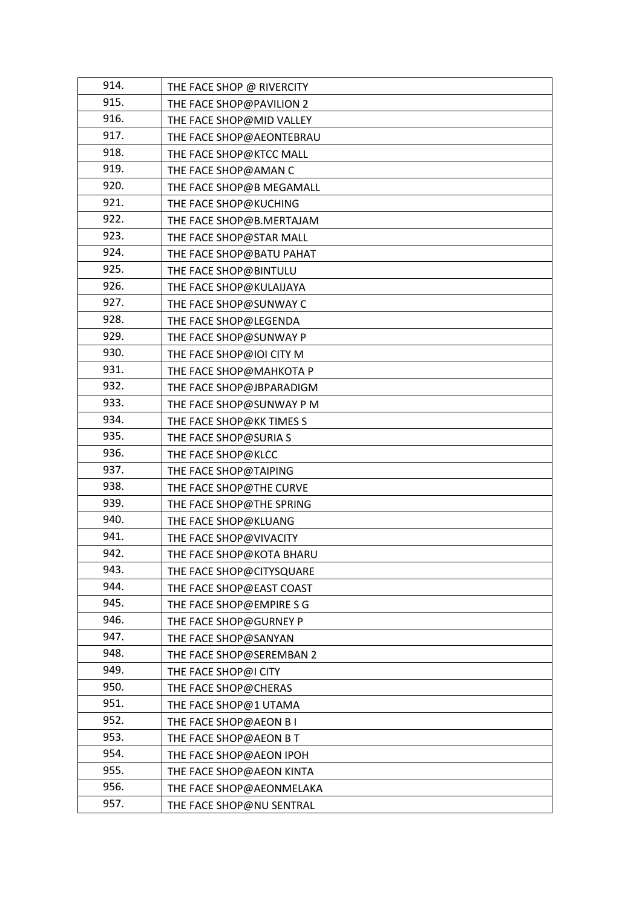| 914. | THE FACE SHOP @ RIVERCITY |
|------|---------------------------|
| 915. | THE FACE SHOP@PAVILION 2  |
| 916. | THE FACE SHOP@MID VALLEY  |
| 917. | THE FACE SHOP@AEONTEBRAU  |
| 918. | THE FACE SHOP@KTCC MALL   |
| 919. | THE FACE SHOP@AMAN C      |
| 920. | THE FACE SHOP@B MEGAMALL  |
| 921. | THE FACE SHOP@KUCHING     |
| 922. | THE FACE SHOP@B.MERTAJAM  |
| 923. | THE FACE SHOP@STAR MALL   |
| 924. | THE FACE SHOP@BATU PAHAT  |
| 925. | THE FACE SHOP@BINTULU     |
| 926. | THE FACE SHOP@KULAIJAYA   |
| 927. | THE FACE SHOP@SUNWAY C    |
| 928. | THE FACE SHOP@LEGENDA     |
| 929. | THE FACE SHOP@SUNWAY P    |
| 930. | THE FACE SHOP@IOI CITY M  |
| 931. | THE FACE SHOP@MAHKOTA P   |
| 932. | THE FACE SHOP@JBPARADIGM  |
| 933. | THE FACE SHOP@SUNWAY PM   |
| 934. | THE FACE SHOP@KK TIMES S  |
| 935. | THE FACE SHOP@SURIA S     |
| 936. | THE FACE SHOP@KLCC        |
| 937. | THE FACE SHOP@TAIPING     |
| 938. | THE FACE SHOP@THE CURVE   |
| 939. | THE FACE SHOP@THE SPRING  |
| 940. | THE FACE SHOP@KLUANG      |
| 941. | THE FACE SHOP@VIVACITY    |
| 942. | THE FACE SHOP@KOTA BHARU  |
| 943. | THE FACE SHOP@CITYSQUARE  |
| 944. | THE FACE SHOP@EAST COAST  |
| 945. | THE FACE SHOP@EMPIRE S G  |
| 946. | THE FACE SHOP@GURNEY P    |
| 947. | THE FACE SHOP@SANYAN      |
| 948. | THE FACE SHOP@SEREMBAN 2  |
| 949. | THE FACE SHOP@I CITY      |
| 950. | THE FACE SHOP@CHERAS      |
| 951. | THE FACE SHOP@1 UTAMA     |
| 952. | THE FACE SHOP@AEON B I    |
| 953. | THE FACE SHOP@AEON BT     |
| 954. | THE FACE SHOP@AEON IPOH   |
| 955. | THE FACE SHOP@AEON KINTA  |
| 956. | THE FACE SHOP@AEONMELAKA  |
| 957. | THE FACE SHOP@NU SENTRAL  |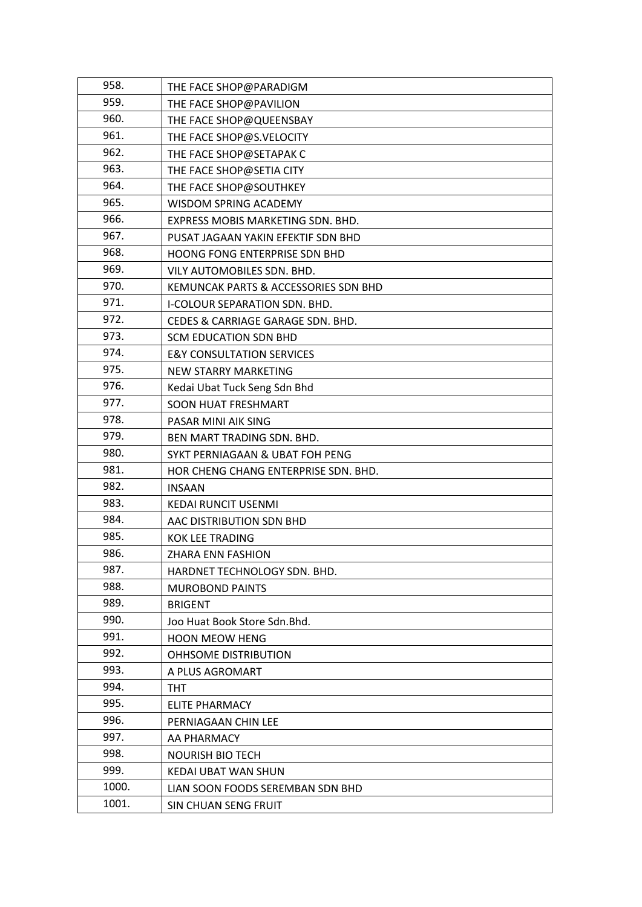| 958.  | THE FACE SHOP@PARADIGM               |
|-------|--------------------------------------|
| 959.  | THE FACE SHOP@PAVILION               |
| 960.  | THE FACE SHOP@QUEENSBAY              |
| 961.  | THE FACE SHOP@S.VELOCITY             |
| 962.  | THE FACE SHOP@SETAPAK C              |
| 963.  | THE FACE SHOP@SETIA CITY             |
| 964.  | THE FACE SHOP@SOUTHKEY               |
| 965.  | WISDOM SPRING ACADEMY                |
| 966.  | EXPRESS MOBIS MARKETING SDN. BHD.    |
| 967.  | PUSAT JAGAAN YAKIN EFEKTIF SDN BHD   |
| 968.  | HOONG FONG ENTERPRISE SDN BHD        |
| 969.  | VILY AUTOMOBILES SDN. BHD.           |
| 970.  | KEMUNCAK PARTS & ACCESSORIES SDN BHD |
| 971.  | <b>I-COLOUR SEPARATION SDN. BHD.</b> |
| 972.  | CEDES & CARRIAGE GARAGE SDN. BHD.    |
| 973.  | <b>SCM EDUCATION SDN BHD</b>         |
| 974.  | <b>E&amp;Y CONSULTATION SERVICES</b> |
| 975.  | <b>NEW STARRY MARKETING</b>          |
| 976.  | Kedai Ubat Tuck Seng Sdn Bhd         |
| 977.  | <b>SOON HUAT FRESHMART</b>           |
| 978.  | PASAR MINI AIK SING                  |
| 979.  | BEN MART TRADING SDN. BHD.           |
| 980.  | SYKT PERNIAGAAN & UBAT FOH PENG      |
| 981.  | HOR CHENG CHANG ENTERPRISE SDN. BHD. |
| 982.  | <b>INSAAN</b>                        |
| 983.  | <b>KEDAI RUNCIT USENMI</b>           |
| 984.  | AAC DISTRIBUTION SDN BHD             |
| 985.  | <b>KOK LEE TRADING</b>               |
| 986.  | ZHARA ENN FASHION                    |
| 987.  | HARDNET TECHNOLOGY SDN. BHD.         |
| 988.  | <b>MUROBOND PAINTS</b>               |
| 989.  | <b>BRIGENT</b>                       |
| 990.  | Joo Huat Book Store Sdn. Bhd.        |
| 991.  | <b>HOON MEOW HENG</b>                |
| 992.  | OHHSOME DISTRIBUTION                 |
| 993.  | A PLUS AGROMART                      |
| 994.  | <b>THT</b>                           |
| 995.  | ELITE PHARMACY                       |
| 996.  | PERNIAGAAN CHIN LEE                  |
| 997.  | AA PHARMACY                          |
| 998.  | <b>NOURISH BIO TECH</b>              |
| 999.  | KEDAI UBAT WAN SHUN                  |
| 1000. | LIAN SOON FOODS SEREMBAN SDN BHD     |
| 1001. | SIN CHUAN SENG FRUIT                 |